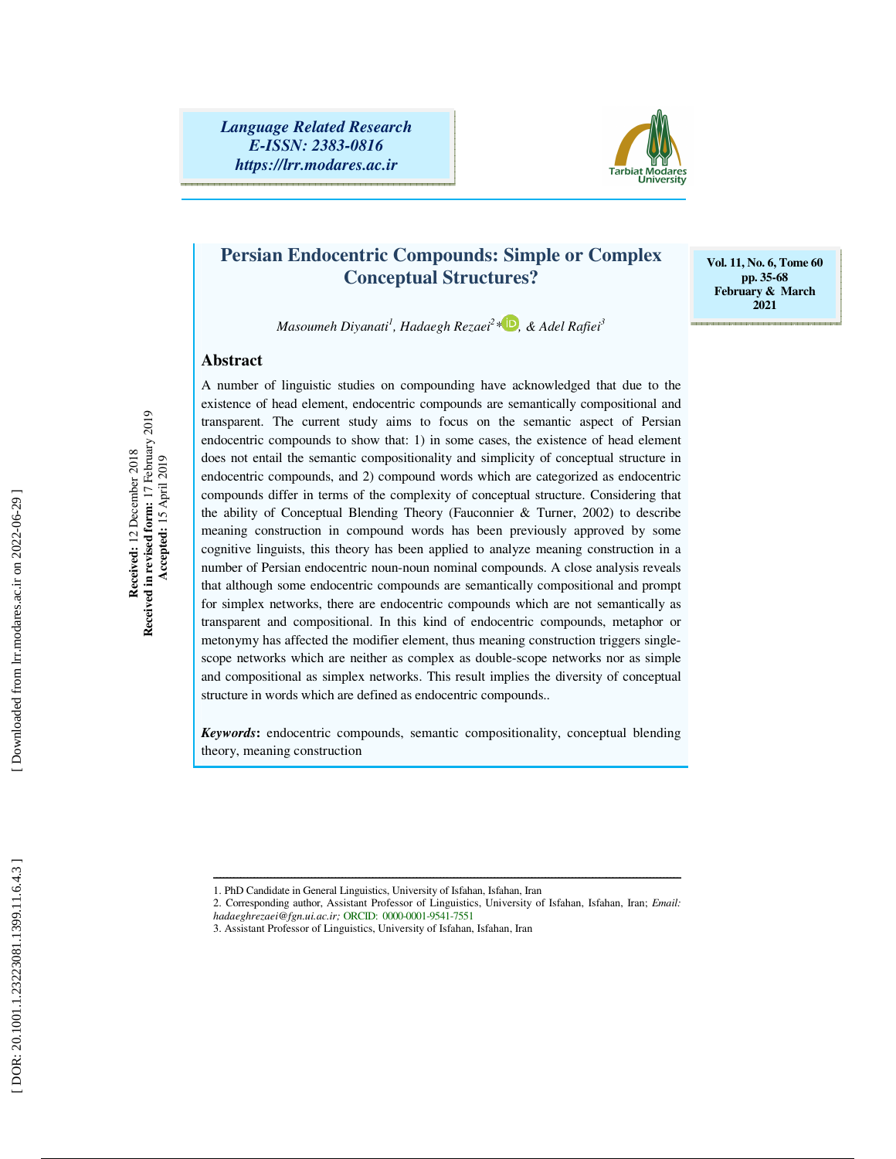*Language Related Research E-ISSN: 2383-0816 https://lrr.modares.ac.ir*



# **Persian Endocentric Compounds: Simple or Complex Conceptual Structures?**

**Vol. 11, No. 6, Tome 60 pp. 35-68 February & March 2021** 

 $M$ asoumeh Diyanati<sup>1</sup>, Hadaegh Rezaei<sup>2</sup> \* $\blacksquare$ , & Adel Rafiei $^3$ 

A number of linguistic studies on compounding have acknowledged that due to the

## **Abstract**

Received in revised form: 17 February 2019<br>Accepted: 15 April 2019 **Received in revised form:** 17 February 2019 Received: 12 December 2018 **Received:** 12 December 2018  **Accepted:** 15 April 2019 existence of head element, endocentric compounds are semantically compositional and transparent. The current study aims to focus on the semantic aspect of Persian endocentric compounds to show that: 1) in some cases, the existence of head element does not entail the semantic compositionality and simplicity of conceptual structure in endocentric compounds, and 2) compound words which are categorized as endocentric compounds differ in terms of the complexity of conceptual structure. Considering that the ability of Conceptual Blending Theory (Fauconnier & Turner, 2002) to describe meaning construction in compound words has been previously approved by some cognitive linguists, this theory has been applied to analyze meaning construction in a number of Persian endocentric noun-noun nominal compounds. A close analysis reveals that although some endocentric compounds are semantically compositional and prompt for simplex networks, there are endocentric compounds which are not semantically as transparent and compositional. In this kind of endocentric compounds, metaphor or metonymy has affected the modifier element, thus meaning construction triggers singlescope networks which are neither as complex as double-scope networks nor as simple and compositional as simplex networks. This result implies the diversity of conceptual structure in words which are defined as endocentric compounds..

*Keywords***:** endocentric compounds, semantic compositionality, conceptual blending theory, meaning construction

ــــــــــــــــــــــــــــــــــــــــــــــــــــــــــــــــــــــــــــــــــــــــــــــــــــــــــــــــــــــــــــــــــــــــــ

<sup>1.</sup> PhD Candidate in General Linguistics, University of Isfahan, Isfahan, Iran

<sup>2.</sup> Corresponding author, Assistant Professor of Linguistics, University of Isfahan, Isfahan, Iran; *Email: hadaeghrezaei@fgn.ui.ac.ir;* ORCID: 0000-0001-9541-7551

<sup>3.</sup> Assistant Professor of Linguistics, University of Isfahan, Isfahan, Iran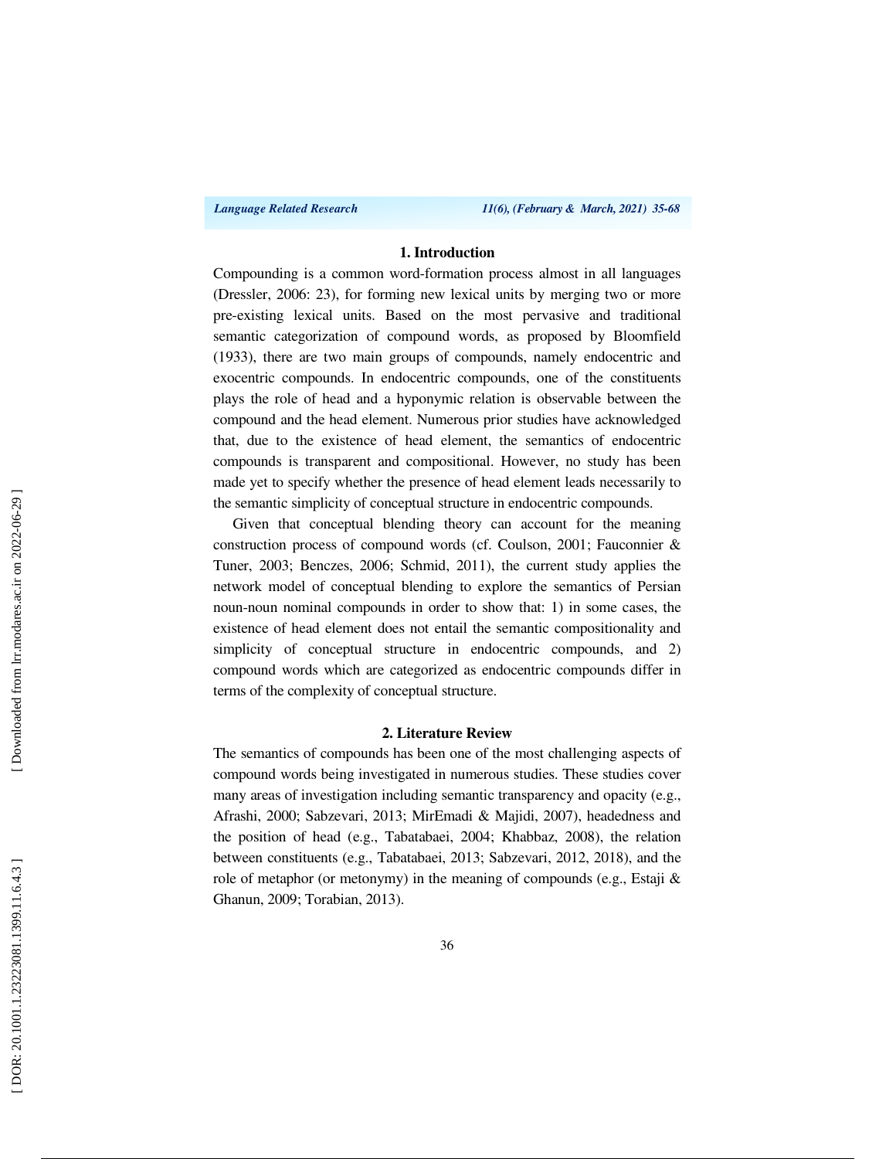*Language Related Research 11(6), (February & March, 2021) 35-68*

## **1. Introduction**

Compounding is a common word-formation process almost in all languages (Dressler, 2006: 23), for forming new lexical units by merging two or more pre-existing lexical units. Based on the most pervasive and traditional semantic categorization of compound words, as proposed by Bloomfield (1933), there are two main groups of compounds, namely endocentric and exocentric compounds. In endocentric compounds, one of the constituents plays the role of head and a hyponymic relation is observable between the compound and the head element. Numerous prior studies have acknowledged that, due to the existence of head element, the semantics of endocentric compounds is transparent and compositional. However, no study has been made yet to specify whether the presence of head element leads necessarily to the semantic simplicity of conceptual structure in endocentric compounds.

Given that conceptual blending theory can account for the meaning construction process of compound words (cf. Coulson, 2001; Fauconnier & Tuner, 2003; Benczes, 2006; Schmid, 2011), the current study applies the network model of conceptual blending to explore the semantics of Persian noun-noun nominal compounds in order to show that: 1) in some cases, the existence of head element does not entail the semantic compositionality and simplicity of conceptual structure in endocentric compounds, and 2) compound words which are categorized as endocentric compounds differ in terms of the complexity of conceptual structure.

### **2. Literature Review**

The semantics of compounds has been one of the most challenging aspects of compound words being investigated in numerous studies. These studies cover many areas of investigation including semantic transparency and opacity (e.g., Afrashi, 2000; Sabzevari, 2013; MirEmadi & Majidi, 2007), headedness and the position of head (e.g., Tabatabaei, 2004; Khabbaz, 2008), the relation between constituents (e.g., Tabatabaei, 2013; Sabzevari, 2012, 2018), and the role of metaphor (or metonymy) in the meaning of compounds (e.g., Estaji & Ghanun, 2009; Torabian, 2013).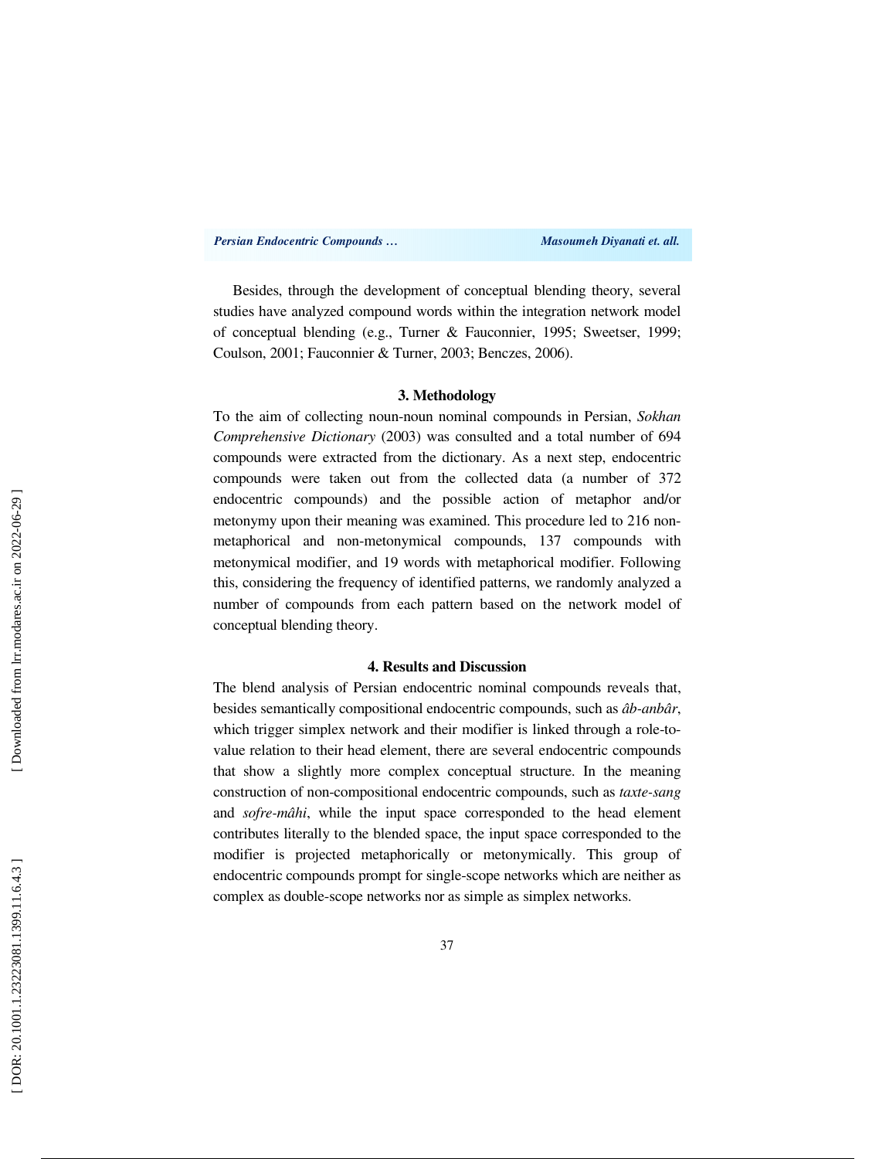*Persian Endocentric Compounds … Masoumeh Diyanati et. all.* 

Besides, through the development of conceptual blending theory, several studies have analyzed compound words within the integration network model of conceptual blending (e.g., Turner & Fauconnier, 1995; Sweetser, 1999; Coulson, 2001; Fauconnier & Turner, 2003; Benczes, 2006).

### **3. Methodology**

To the aim of collecting noun-noun nominal compounds in Persian, *Sokhan Comprehensive Dictionary* (2003) was consulted and a total number of 694 compounds were extracted from the dictionary. As a next step, endocentric compounds were taken out from the collected data (a number of 372 endocentric compounds) and the possible action of metaphor and/or metonymy upon their meaning was examined. This procedure led to 216 nonmetaphorical and non-metonymical compounds, 137 compounds with metonymical modifier, and 19 words with metaphorical modifier. Following this, considering the frequency of identified patterns, we randomly analyzed a number of compounds from each pattern based on the network model of conceptual blending theory.

#### **4. Results and Discussion**

The blend analysis of Persian endocentric nominal compounds reveals that, besides semantically compositional endocentric compounds, such as *âb-anbâr*, which trigger simplex network and their modifier is linked through a role-tovalue relation to their head element, there are several endocentric compounds that show a slightly more complex conceptual structure. In the meaning construction of non-compositional endocentric compounds, such as *taxte-sang* and *sofre-mâhi*, while the input space corresponded to the head element contributes literally to the blended space, the input space corresponded to the modifier is projected metaphorically or metonymically. This group of endocentric compounds prompt for single-scope networks which are neither as complex as double-scope networks nor as simple as simplex networks.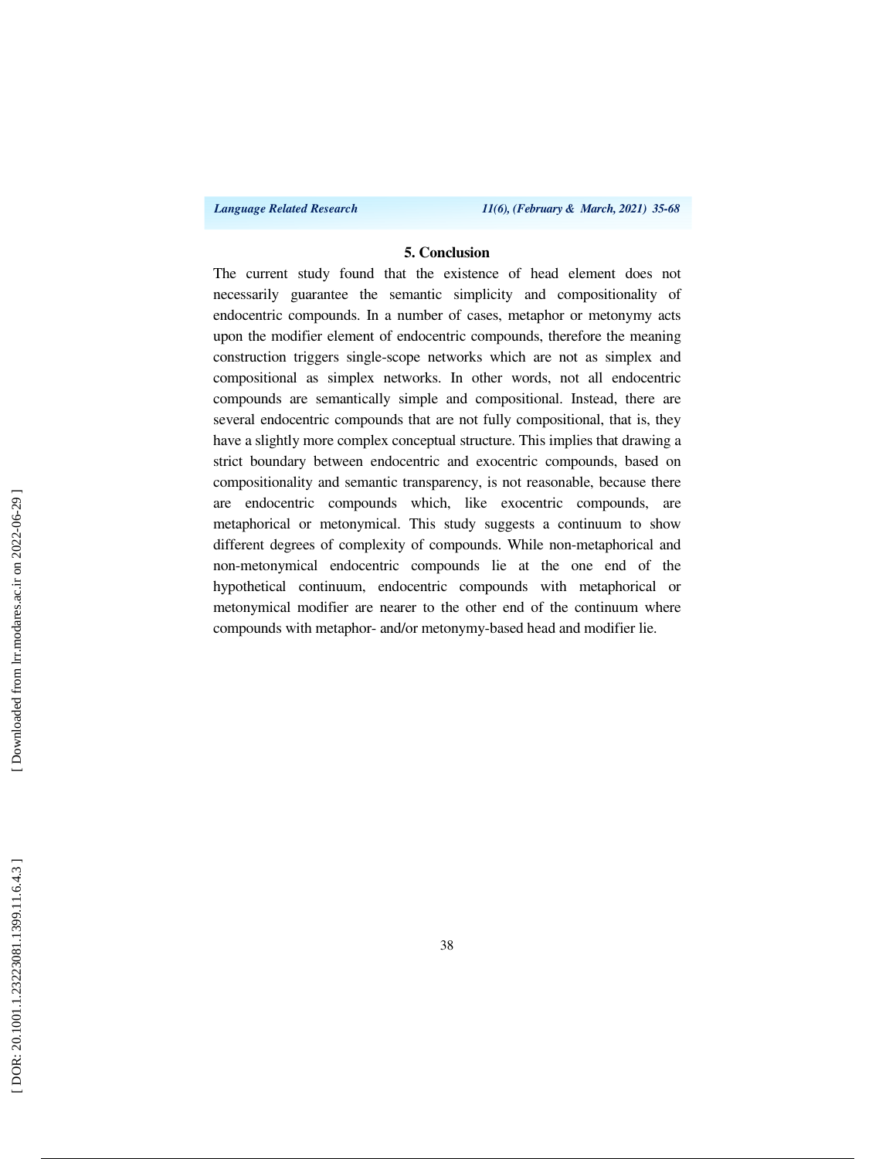*Language Related Research 11(6), (February & March, 2021) 35-68*

### **5. Conclusion**

The current study found that the existence of head element does not necessarily guarantee the semantic simplicity and compositionality of endocentric compounds. In a number of cases, metaphor or metonymy acts upon the modifier element of endocentric compounds, therefore the meaning construction triggers single-scope networks which are not as simplex and compositional as simplex networks. In other words, not all endocentric compounds are semantically simple and compositional. Instead, there are several endocentric compounds that are not fully compositional, that is, they have a slightly more complex conceptual structure. This implies that drawing a strict boundary between endocentric and exocentric compounds, based on compositionality and semantic transparency, is not reasonable, because there are endocentric compounds which, like exocentric compounds, are metaphorical or metonymical. This study suggests a continuum to show different degrees of complexity of compounds. While non-metaphorical and non-metonymical endocentric compounds lie at the one end of the hypothetical continuum, endocentric compounds with metaphorical or metonymical modifier are nearer to the other end of the continuum where compounds with metaphor- and/or metonymy-based head and modifier lie.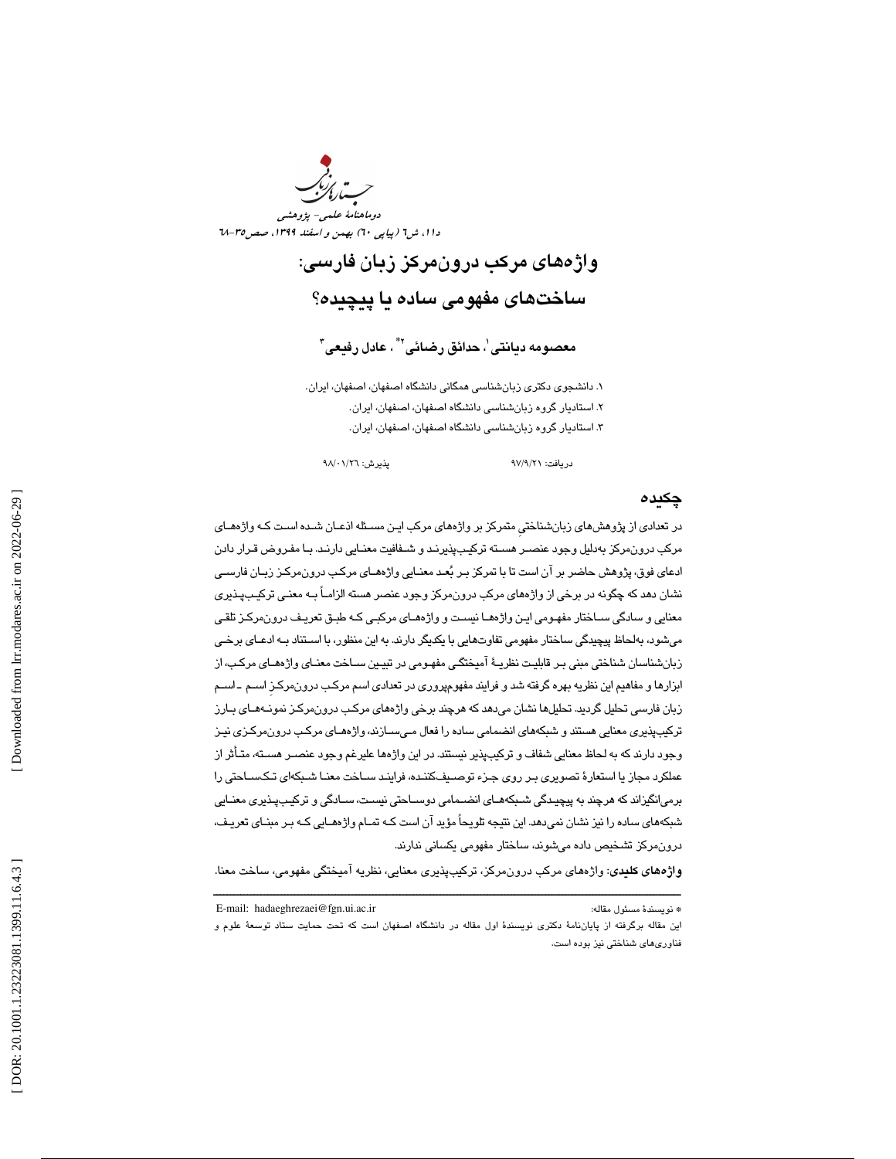دوماهنامة علمي- پژوهشي دا ۱، ش1 (پیاپی ٦٠) بهمن و اسفند ١٣٩٩، صص1٥-٦٨

> واژههاي مركب درونمركز زبان فارسي: ساختهاي مفهومي ساده يا پيچيده؟

> > معصومه د**يانت**ى ٰ، حدائق رضائى'<sup>\*</sup> ، عادل رفيعى<sup>۳</sup>

. دانشجوي دكتري زبانشناسي همگاني دانشگاه اصفهان، اصفهان، ايران. 1 . استاديار گروه زبانشناسي دانشگاه اصفهان، اصفهان، ايران. 2 . استاديار گروه زبانشناسي دانشگاه اصفهان، اصفهان، ايران. 3

دريافت: 21/9/ 97 پذيرش: 26/ 01/ 98

### چكيده

در تعدادي از پژوهش هاي زبانشناختيِ متمركز بر واژههاي مركب ايـن مسـئله اذعـان شـده اسـت كـه واژه هـاي مركب درونمركز بهدليل وجود عنصـر هسـته تركيـب پذيرنـد و شـفافيت معنـايي دارنـد. بـا مفـروض قـرار دادن ادعاي فوق، پژوهش حاضر بر آن است تا با تمركز بـر بعـد معنـايي واژه هـاي مركـب درون مركـز زبـان فارسـي نشان دهد كه چگونه در برخي از واژههاي مركب درونمركز وجود عنصر هسته الزامـاً بـه معنـي تركيـب پـذ يري معنايي و سادگي سـاختار مفهـومي ايـن واژه هـا نيسـت و واژه هـاي مركبـي كـه طبـق تعريـف درون مركـز تلقـي ميشود، بهلحاظ پيچيدگي ساختار مفهومي تفاوتهايي با يكديگر دارند. به اين منظور، با اسـتناد بـه ادعـاي برخـي زبان شناسان شناختي مبني بـر قابليـت نظريـة آميختگـي مفهـو مي در تبيـين سـاخت معنـاي واژه هـاي مركـب، از ابزارها و مفاهيم اين نظريه بهره گرفتهشد و فرايند مفهوم پروري در تعدادي اسم مركـب درون مركـزِ اسـم ـ اسـم زبان فارسي تحليل گرديد. تحليلها نشان ميدهد كه هرچند برخي واژههاي مركـب درون مركـز نمونـه هـاي بـارز تركيبپذيري معنايي هستند و شبكههاي انضمامي ساده را فعال مـيسـازند، واژههـاي مركـب درون،مركـزي نيـز وجود دارند كه به لحاظ معنايي شفاف و تركيبپذير نيستند. در اين واژهها عليرغم وجود عنصـر هسـته، متـأثر از عملكرد مجاز يا استعارة تصويري بـر روي جـزء توصـيف كننـده، فراينـد سـاخت معنـا شـبكه اي تـك سـاحتي را برميانگيزاند كه هرچند به پيچيـدگي شـبكه هـاي انضـمامي دوسـاحتي نيسـت، سـادگي و تركيـب پـذيري معنـايي شبكههاي ساده را نيز نشان نمي دهد. اين نتيجه تلويحاً مؤيد آن است كـه تمـام واژههـايي كـه بـر مبنـاي تعريـف، درونمركز تشخيص داده ميشوند، ساختار مفهومي يكساني ندارند.

ــــــــــــــــــــــــــــــــــــــــــــــــــــــــــــــــــــــــــــــــــــــــــــــــــــــــــــــــــــــــــــــــــــــــــ واژههاي كليدي: واژههاي مركب درونمركز، تركيبپذيري معنايي، نظريه آميختگي مفهومي، ساخت معنا.

E-mail: hadaeghrezaei@fgn.ui.ac.ir :مقاله مسئول نويسندة\*

اين مقاله برگرفته از پاياننامهٔ دكترى نويسندهٔ اول مقاله در دانشگاه اصفهان است كه تحت حمايت ستاد توسعهٔ علوم و فناوري هاي شناختي نيز بوده است.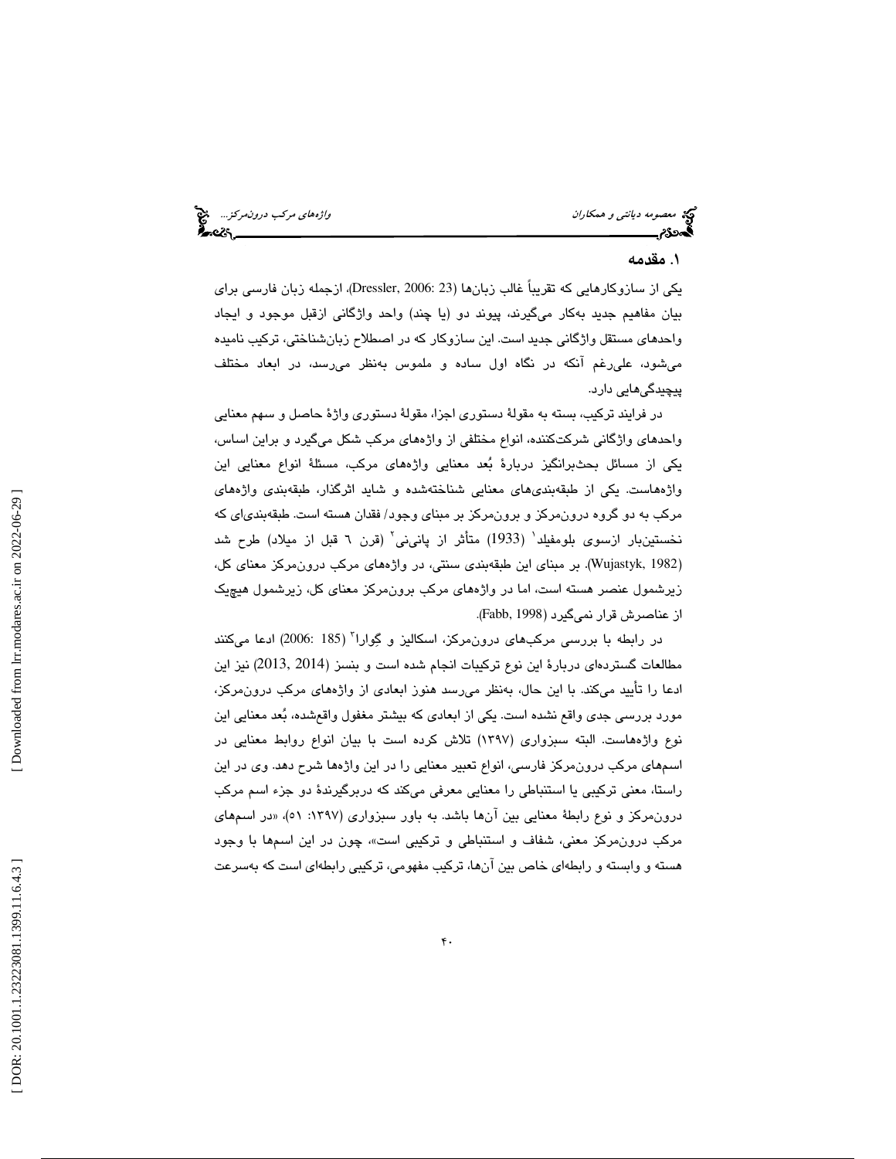می در این درونمركز... التي توسع العامل العامل العامل العامل العامل مركب درونمركز... التي توسع العامل العامل ال<br>**اگه در در این مرکز العامل العامل العامل العامل العامل العامل العامل العامل العامل العامل العامل العامل العامل** 

## . مقدمه 1

يكي از سازوكارهايي كه تقريباً غالب زبانها (23 2006: ,Dressler(، ازجمله زبان فارسي براي بيان مفاهيم جديد بهكار ميگيرند، پيوند دو (يا چند) واحد واژگاني ازقبل موجود و ايجاد واحدهاي مستقل واژگاني جديد است. اين سازوكار كه در اصطلاح زبانشناختي، تركيب ناميده ميشود، عليرغم آنكه در نگاه اول ساده و ملموس بهنظر ميرسد، در ابعاد مختلف پيچيدگيهايي دارد.

در فرايند تركيب، بسته به مقولهٔ دستوري اجزا، مقولهٔ دستوري واژهٔ حاصل و سهم معنايي واحدهاي واژگاني شركتكننده، انواع مختلفي از واژه هاي مركب شكل ميگيرد و براين اساس، يكي از مسائل بحثبرانگيز دربارة بعد معنايي واژههاي مركب، مسئلة انواع معنايي اين واژههاست. يكي از طبقهبندي هاي معنايي شناختهشده و شايد اثرگذار، طبقهبندي واژههاي مركب به دو گروه درونمركز و برونمركز بر مبناي وجود/ فقدان هسته است. طبقهبندياي كه نخستينبار ازسوى بلومفيلد<sup>'</sup> (1933) متأثر از پان<sub>عا</sub>ني<sup>٬</sup> (قرن ٦ قبل از ميلاد) طرح شد 1982 ,Wujastyk(. بر مبناي اين طبقهبندي سنتي، در واژههاي مركب درونمركز معناي كل، ) زيرشمول عنصر هسته است، اما در واژههاي مركب برونمركز معناي كل، زيرشمول هيچيك از عناصرش قرار نميگيرد (1998 ,Fabb(.

در رابطه با بررسی مرکبهای درون،مرکز، اسکالیز و گِوارا<sup>۲</sup> (185 :2006) ادعا میکنند مطالعات گستردهاي دربارة اين نوع تركيبات انجام شده است و بنسز (2014 2013,) نيز اين ادعا را تاييد مىكند. با اين حال، بەنظر مىرسد هنوز ابعادى از واژەهاى مركب درون،مركز، مورد بررسي جدي واقع نشده است. يكي از ابعادي كه بيشتر مغفول واقعشده، بُعد معنايي اين نوع واژههاست. البته سبزواري (1397) تلاش كرده است با بيان انواع روابط معنايي در اسمهاي مركب درونمركز فارسي، انواع تعبير معنايي را در اين واژهها شرح دهد. وي در اين راستا، معني تركيبي يا استنباطي را معنايي معرفي ميكند كه دربرگيرندة دو جزء اسم مركب درونمركز و نوع رابطة معنايي بين آنها باشد. به باور سبزواري (١٣٩٧: ٥١)، «در اسمهاي مركب درونٖمركز معنى، شفاف و استنباطي و تركيبي است»، چون در اين اسـمها با وجود 1 هسته و وابسته و رابطهاي خاص بين آنها، تركيب مفهومي، تركيبي رابطهاي است كه بهسرعت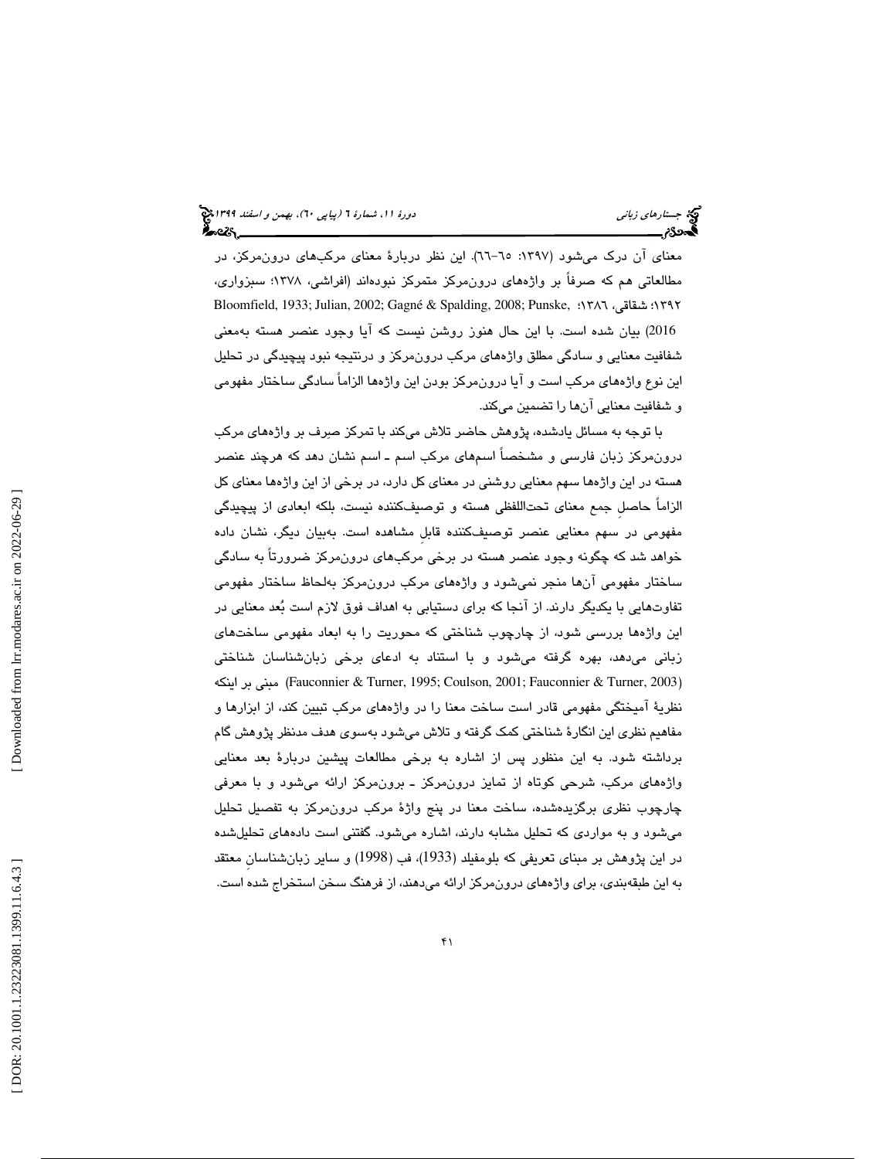معنای آن درک میشود (۱۳۹۷: ٦٥–٦٦). اين نظر دربارهٔ معنای مرکبهای درون،مرکز، در مطالعاتي هم كه صرفاً بر واژههاي درون،مركز متمركز نبودهاند (افراشي، ۱۳۷۸؛ سبزواري، Bloomfield, 1933; Julian, 2002; Gagné & Spalding, 2008; Punske, ؛1386 ي، شقاق ؛1392 2016) بيان شده است. با اين حال هنوز روشن نيست كه آيا وجود عنصر هسته بهمعنى شفافيت معنايي و سادگي مطلق واژههاي مركب درونمركز و درنتيجه نبود پيچيدگي در تحليل اين نوع واژههای مركب است و آيا درونمركز بودن اين واژهها الزاماً سادگي ساختار مفهومي و شفافيت معنايي آنها را تضمين ميكند.

با توجه به مسائل يادشده، پژوهش حاضر تلاش ميكند با تمركز صرف بر واژههاي مركب درونمركز زبان فارسي و مشخصاً اسمهاي مركب اسم ـ اسم نشان دهد كه هرچند عنصر هسته در اين واژهها سهم معنايي روشني در معناي كل دارد، در برخي از اين واژهها معناي كل الزاماً حاصلِ جمع معناي تحتاللفظي هسته و توصيفكننده نيست، بلكه ابعادي از پيچيدگي مفهومي در سهم معنايي عنصر توصيفكننده قابلِ مشاهده است. بهبيان ديگر، نشان داده خواهد شد كه چگونه وجود عنصر هسته در برخي مركبهاي درونمركز ضرورتاً به سادگي ساختار مفهومي آنها منجر نميشود و واژههاي مركب درونمركز بهلحاظ ساختار مفهومي تفاوت هايي با يكديگر دارند. از آنجا كه براي دستيابي به اهداف فوق لازم است بعد معنايي در اين واژهها بررسي شود، از چارچوب شناختي كه محوريت را به ابعاد مفهومي ساختهاي زباني ميدهد، بهره گرفته ميشود و با استناد به ادعاي برخي زبانشناسان شناختي اينكه بر مبني) Fauconnier & Turner, 1995; Coulson, 2001; Fauconnier & Turner, 2003 ) نظرية آميختگي مفهومي قادر است ساخت معنا را در واژههاي مركب تبيين كند، از ابزارها و مفاهيم نظري اين انگارة شناختي كمك گرفته و تلاش ميشود بهسوي هدف مدنظر پژوهش گام برداشته شود. به اين منظور پس از اشاره به برخي مطالعات پيشين دربارة بعد معنايي واژههاي مركب، شرحي كوتاه از تمايز درونمركز ـ برون مركز ارائه ميشود و با معرفي چارچوب نظري برگزيدهشده، ساخت معنا در پنج واژة مركب درونمركز به تفصيل تحليل ميشود و به مواردي كه تحليل مشابه دارند، اشاره ميشود. گفتني است دادههاي تحليلشده در اين پژوهش بر مبناي تعريفي كه بلومفيلد (1933)، فب (1998) و ساير زبانشناسانِ معتقد به اين طبقهبندي، براي واژههاي درون مركز ارائه ميدهند، از فرهنگ سخن استخراج شده است.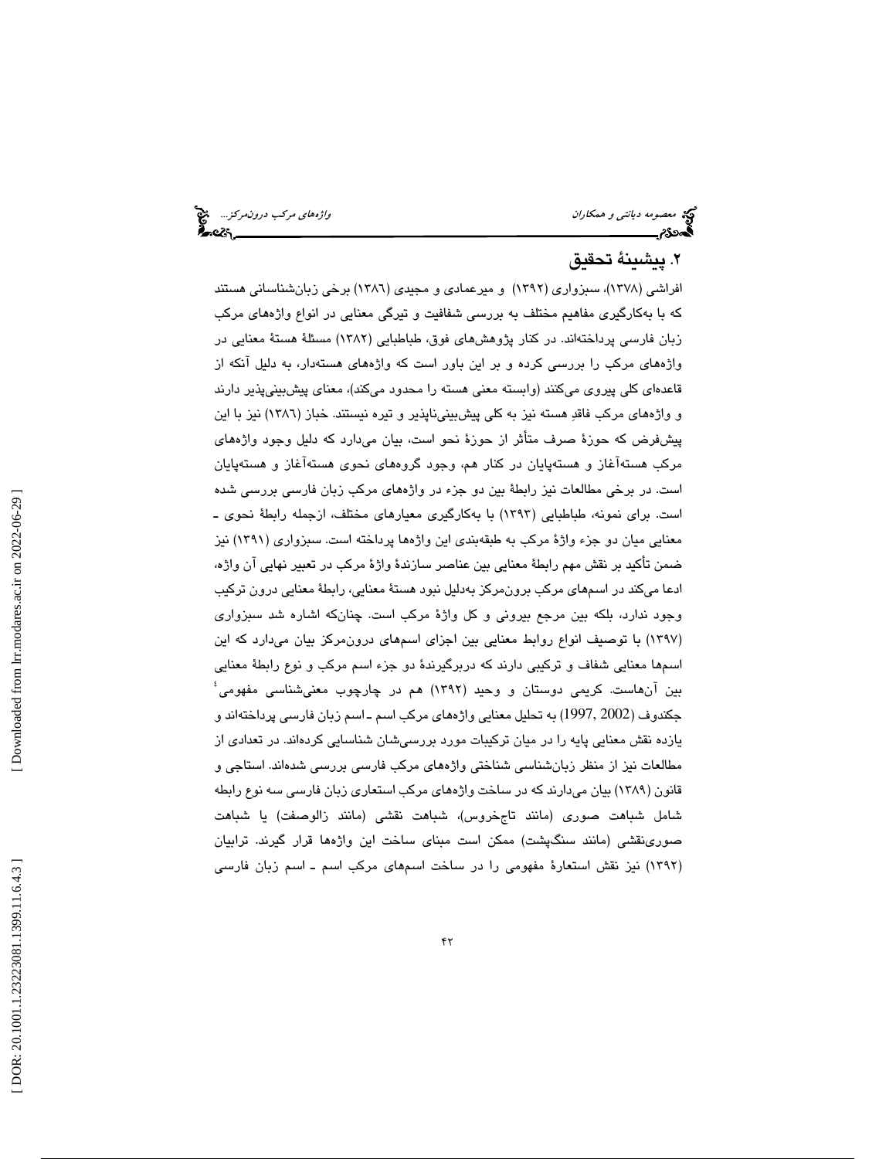## . پيشينة تحقيق 2

افراشي (1378)، سبزواري (1392) و ميرعمادي و مجيدي (1386) برخي زبانشناساني هستند كه با بهكارگيري مفاهيم مختلف به بررسي شفافيت و تيرگي معنايي در انواع و اژههاي مركب زبان فارسی پرداختهاند. در كنار پژوهش های فوق، طباطبایی (۱۳۸۲) مسئلهٔ هستهٔ معنایی در واژههای مرکب را بررسی کرده و بر این باور است که واژههای هستهدار، به دلیل آنکه از قاعدهای کلی پیروی میکنند (وابسته معنی هسته را محدود میکند)، معنای پیشبینیپذیر دارند و واژههای مرکب فاقدِ هسته نيز به كلی پيشبينيiپنوير و تيره نيستند. خباز (١٣٨٦) نيز با اين پيشفرض كه حوزهٔ صرف متأثر از حوزهٔ نحو است، بيان ميدارد كه دليل وجود واژههاي مرکب هستهاغاز و هستهپایان در کنار هم، وجود گروههای نحوی هستهاغاز و هستهپایان است. در برخي مطالعات نيز رابطهٔ بين دو جزء در واژههاي مركب زبان فارسي بررسي شده است. برای نمونه، طباطبایی (۱۳۹۳) با بهکارگیری معیارهای مختلف، ازجمله رابطهٔ نحوی ـ معنايي ميان دو جزء واژهٔ مركب به طبقهبندي اين واژهها پرداخته است. سبزواري (١٣٩١) نيز ضمن تأكيد بر نقش مهم رابطة معنايي بين عناصر سازندهٔ واژهٔ مركب در تعبير نهايي آن واژه، ادعا میکند در اسمهای مرکب برون،مرکز بهدلیل نبود هستهٔ معنایی، رابطهٔ معنایی درون ترکیب وجود ندارد، بلكه بين مرجع بيروني و كل واژهٔ مركب است. چنانكه اشاره شد سبزواري (١٣٩٧) با توصيف انواع روابط معنايي بين اجزاي اسمهاي درونمركز بيان ميدارد كه اين اسىمها معنايي شفاف و تركيبي دارند كه دربرگيرندهٔ دو جزء اسم مركب و نوع رابطهٔ معنايي<br>بين آنهاست. كريمي دوستان و وحيد (١٣٩٢) هم در چارچوب معنيشناسي مفهومي<sup>،</sup> جكندوف (2002 ,1997) به تحليل معنايي واژههای مركب اسم ـ اسم زبان فارسی پرداختهاند و يازده نقش معنايي پايه را در ميان تركيبات مورد بررسيشان شناسايي كردهاند. در تعدادي از مطالعات نيز از منظر زبانشناسي شناختي واژههاي مركب فارسي بررسي شدهاند. استاجي و قانون (١٣٨٩) بيان ميدارند كه در ساخت واژههاي مركب استعاري زبان فارسى سه نوع رابطه شامل شباهت صوری (مانند تاجخروس)، شباهت نقشی (مانند زالوصفت) یا شباهت صورینقشی (مانند سنگپشت) ممکن است مبنای ساخت این واژهها قرار گیرند. ترابیان (۱۳۹۲) نیز نقش استعارهٔ مفهومی را در ساخت اسمهای مرکب اسم ـ اسم زبان فارسی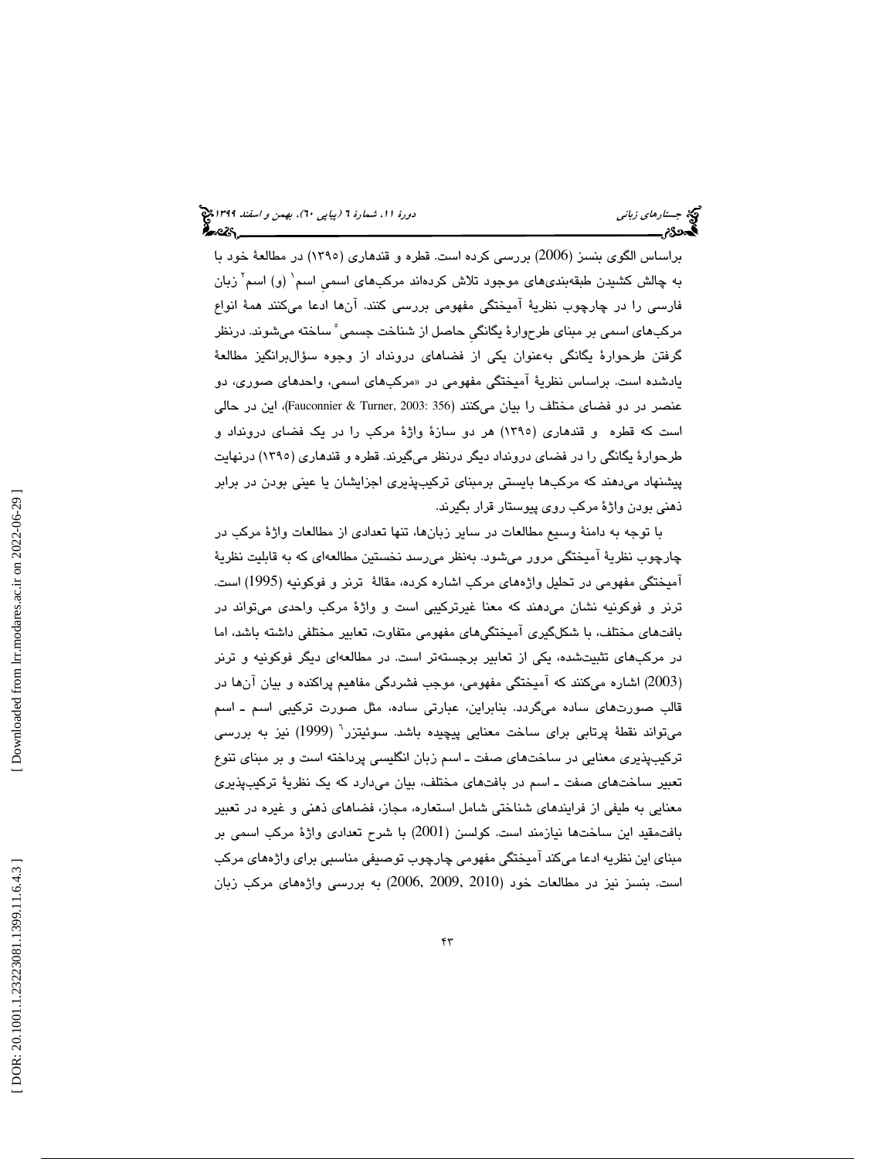براساس الگو ي بنسز ( 2006) بررسي كرده است . قطره و قندهار ( ي 1395) در مطالعة خود با به چالش کشیدن طبقهبندیهای موجود تلاش کردهاند مرکبهای اسمی اسم<sup>۱</sup> (و) اسم<sup>۲</sup> زبان فارسی را در چارچوب نظریهٔ امیختگی مفهومی بررسی کنند. انها ادعا میکنند همهٔ انواع<br>مرکبهای اسمی بر مبنای طرحوارهٔ یگانگی حاصل از شناخت جسمی ْ ساخته میشوند. درنظر گرفتن طرحوارهٔ یگانگی بهعنوان یکی از فضاهای درونداد از وجوه سؤال،برانگیز مطالعهٔ یادشده است. براساس نظریهٔ امیختگی مفهومی در «مرکبهای اسمی، واحدهای صوری، دو عنصر در دو فضاى مختلف را بيان مىكنند (356 :Fauconnier & Turner, 2003)، اين در حالي است كه قطره و قندهاری (۱۳۹۰) هر دو سازهٔ واژهٔ مركب را در یک فضای درونداد و طرحوارهٔ يگانگي را در فضاي درونداد ديگر درنظر ميگيرند. قطره و قندهاري (١٣٩٥) درنهايت پیشنهاد میدهند که مرکبها بایستی برمبنای ترکیبپذیری اجزایشان یا عینی بودن در برابر ذهنی بودن واژهٔ مرکب روی پیوستار قرار بگیرند.

با توجه به دامنهٔ وسیع مطالعات در سایر زبانها، تنها تعدادی از مطالعات واژهٔ مرکب در چارچوب نظرية آميختگي مرور ميشود. بەنظر مىرسد نخستين مطالعهاي كه به قابليت نظرية آميختگي مفهومي در تحليل واژههاي مركب اشاره كرده، مقالهٔ ترنر و فوكونيه (1995) است. ترنر و فوكونيه نشان مي هند كه معنا غيرتركيبي است و واژهٔ مركب واحدى ميتواند در بافتهاى مختلف، با شكلگيرى آميختگىهاى مفهومى متفاوت، تعابير مختلفى داشته باشد، اما در مركبهاي تثبيتشده، يكي از تعابير برجستهتر است. در مطالعهاي ديگر فوكونيه و ترنر (2003) اشاره میكنند كه آمیختگی مفهومی، موجب فشردگی مفاهیم پراكنده و بیان آنها در قالب صورتهای ساده میگردد. بنابراین، عبارتی ساده، مثل صورت تركیبی اسم ـ اسم میتواند نقطهٔ پرتابی برای ساخت معنایی پیچیده باشد. سوئیتزر<sup>٦</sup> (1999) نیز به بررسی تركيبپذيري معنايي در ساختهاي صفت ــ اسم زبان انگليسي پرداخته است و بر مبناي تنوع تعبير ساختهاى صفت ــ اسم در بافتهاى مختلف، بيان مىدارد كه يک نظريهٔ ترکيبپذيرى معنايي به طيفي از فرايندهاي شناختي شامل استعاره، مجاز، فضاهاي ذهني و غيره در تعبير بافت قيد اين ساختها نيازمند است. كولسن (2001) با شرح تعدادى واژهٔ مركب اسمى بر مبناي اين نظريه ادعا ميكند آميختگي مفهومي چارچوب توصيفي مناسبي براي واژههاي مركب است. بنسز نيز در مطالعات خود (2000, 2009, 2019) به بررسی واژههای مرکب زبان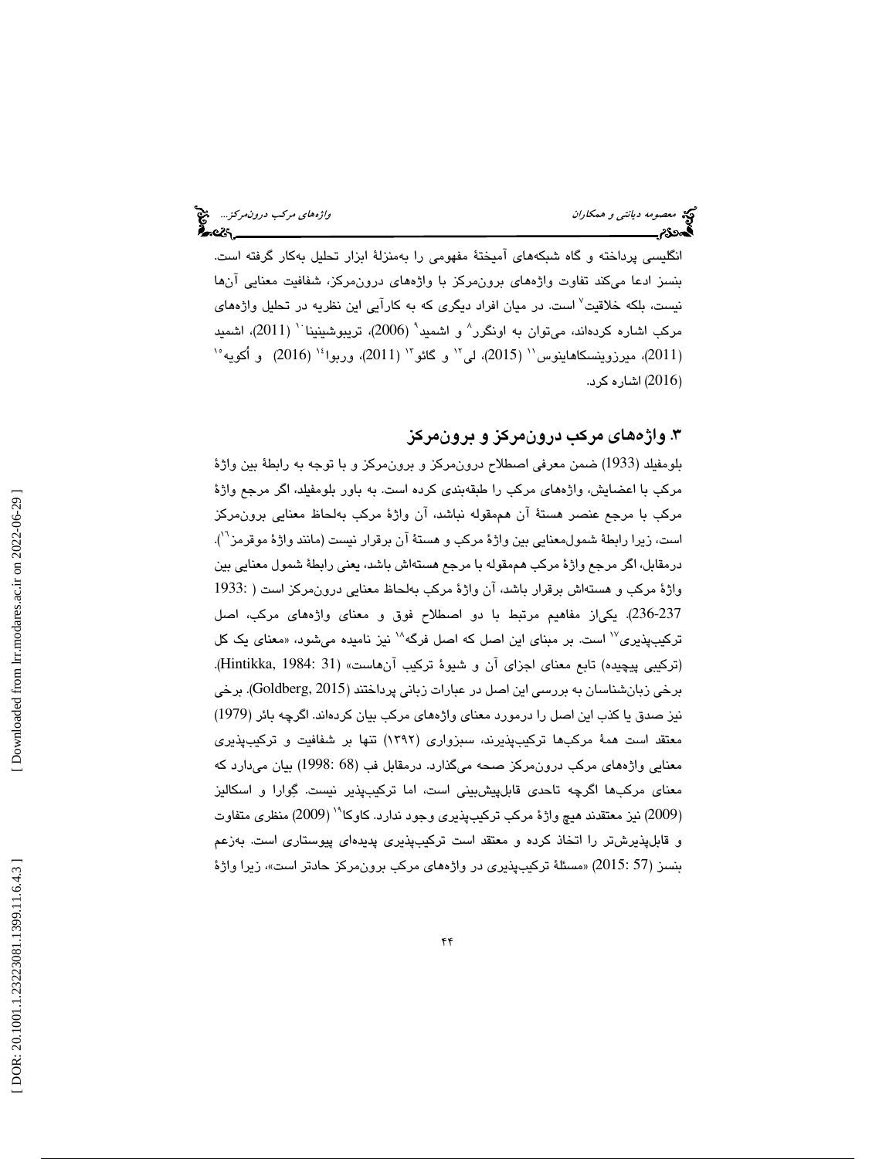انگليسي پرداخته و گاه شبكههاي آميختهٔ مفهومي را بهمنزلهٔ ابزار تحليل بهكار گرفته است. بنسز ادعا مىكند تفاوت واژههاى برونمركز با واژههاى درونمركز، شفافيت معنايي آنها نيست، بلكه خلاقيت<sup>٬</sup> است. در ميان افراد ديگری كه به كارآيی اين نظريه در تحليل واژه*ه*ای مركب اشاره كردهاند، مىتوان به اونگرر^ و اشميد` (2006)، تريبوشينينا `` (2011)، اشميد (2011)، میرزوینسکاهاینوس'' (2015)، لی'' و گائو''' (2011)، وربوا<sup>،</sup>'' (2016) و اُکویه<sup>،</sup>' 2016) اشاره كرد. )

## .3 واژههاي مركب درونمركز و برونمركز

بلومفيلد (1933) ضمن معرفي اصطلاح درونمركز و برونمركز و با توجه به رابطة بين واژة مركب با اعضايش، واژەهاى مركب را طبقەبندى كرده است. به باور بلومفيلد، اگر مرجع واژهٔ مركب با مرجع عنصر هستة آن هممقوله نباشد، آن واژة مركب بهلحاظ معنايي برونمركز است، زيرا رابطة شمولمعنايي بين واژهٔ مركب و هستهٔ آن برقرار نيست (مانند واژهٔ موقرمز<sup>٦٦</sup>). درمقابل، اگر مرجع واژة مركب هممقوله با مرجع هسته اش باشد، يعني رابطة شمول معنايي بين واژة مركب و هستهاش برقرار باشد، آن واژة مركب بهلحاظ معنايي درونمركز است ( 1933: 236-237). يكياز مفاهيم مرتبط با دو اصطلاح فوق و معناي واژههاي مركب، اصل تركيبپذيري<sup>17</sup> است. بر مبناي اين اصل كه اصل فرگه<sup>11</sup> نيز ناميده مي شود، «معناي يک كل (تركيبي پيچيده) تابع معناي اجزاي آن و شيوة تركيب آنهاست» (31 1984: ,Hintikka(. برخي زبانشناسان به بررسي اين اصل در عبارات زباني پرداختند (2015 ,Goldberg(. برخي نيز صدق يا كذب اين اصل را درمورد معناي واژههاي مركب بيان كردهاند. اگرچه بائر (1979) معتقد است همهٔ مركبها تركيبپذيرند، سبزواري (١٣٩٢) تنها بر شفافيت و تركيبپذيري معنايي واژههاي مركب درونمركز صحه ميگذارد. درمقابل فب (68 1998:) بيان ميدارد كه معناي مركبها اگرچه تاحدي قابلپيشبيني است، اما تركيبپذير نيست. گوارا و اسكاليز (2009) نيز معتقدند هيچ واژهٔ مركب تركيبپذيري وجود ندارد. كاوكا<sup>۱۹</sup> (2009) منظري متفاوت و قابلپذيرشتر را اتخاذ كرده و معتقد است تركيبپذيري پديدهاي پيوستاري است. بهزعم بنسز (57 :2015) «مسئلهٔ ترکیبپذیری در واژههای مرکب برونمرکز حادتر است»، زیرا واژهٔ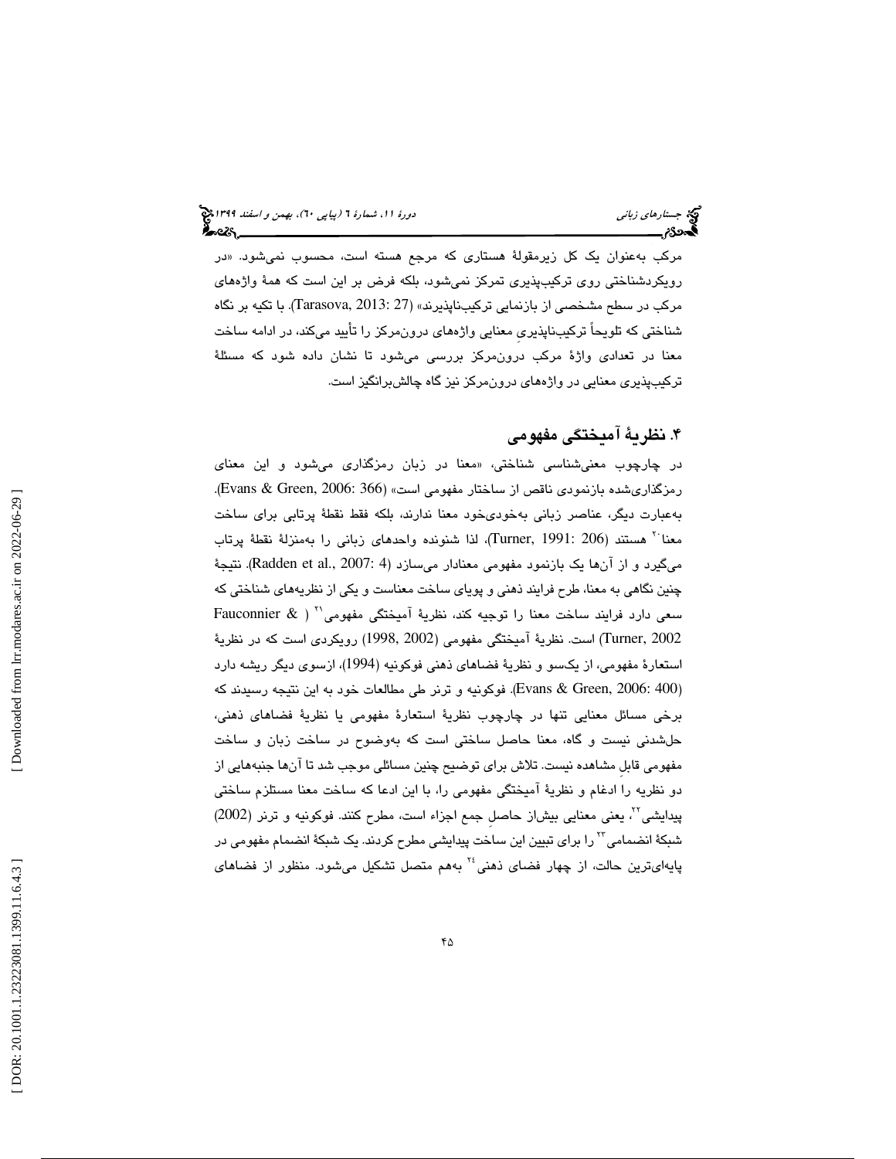مرکب بهعنوان یک کل زیرمقولهٔ هستار*ی* که مرجع هسته است، محسوب نمیشود. «در رويكردشناختي روي تركيب پذيري تمركز نميشود، بلكه فرض بر اين است كه همة واژههاي مركب در سطح مشخصي از بازنمايي تركيبناپذيرند» (27 2013: ,Tarasova(. با تكيه بر نگاه شناختي كه تلويحاً تركيبناپذيريِ معنايي واژههاي درون مركز را تأييد ميكند، در ادامه ساخت معنا در تعدادي واژة مركب درونمركز بررسي مي شود تا نشان داده شود كه مسئلة تركيبپذيري معنايي در واژههاي درونمركز نيز گاه چالشبرانگيز است .

## . نظرية آميختگي مفهومي 4

در چارچوب معنىشناسى شناختى، «معنا در زبان رمزگذارى مىشود و اين معناى رمزگذاريشده بازنمودي ناقص از ساختار مفهومي است» (366 2006: ,Green & Evans(. بهعبارت ديگر، عناصر زباني بهخوديخود معنا ندارند، بلكه فقط نقطة پرتابي براي ساخت معناً بهمستند (206 :Turner, 1991)، لذا شنونده واحدهاي زباني را بهمنزلة نقطة پرتاب میگیرد و از آنها یک بازنمود مفهومی معنادار میسازد (Radden et al., 2007: 4). نتیجهٔ چنين نگاهي به معنا، طرح فرايند ذهني و پوياي ساخت معناست و يكي از نظريههاي شناختي كه سعي دارد فرايند ساخت معنا را توجيه كند، نظرية آميختگي مفهومي <sup>21</sup> Fauconnier & ) Turner, 2002) است. نظريهٔ آميختگي مفهومي (1998, 2002) رويکردی است که در نظريهٔ استعارهٔ مفهومي، از يكسو و نظريهٔ فضاهاي ذهني فوكونيه (1994)، ازسوي ديگر ريشه دارد (Evans & Green, 2006: 400). فوكونيه و ترنر طي مطالعات خود به اين نتيجه رسيدند كه برخی مسائل معنایی تنها در چارچوب نظریهٔ استعارهٔ مفهومی یا نظریهٔ فضاهای ذهنی، حلشدني نيست و گاه، معنا حاصل ساختي است كه بەوضىوح در ساخت زبان و ساخت مفهومی قابل مشاهده نيست. تلاش برای توضيح چنين مسائلی موجب شد تا آنها جنبههايی از دو نظريه را ادغام و نظريهٔ اميختگي مفهومي را، با اين ادعا كه ساخت معنا مستلزم ساختي<br>پيدايشي<sup>۲۲</sup>، يعني معنايي بيشاز حاصل جمع اجزاء است، مطرح كنند. فوكونيه و ترنر (2002) شبکهٔ انضمامی™ را برای تبیین این ساخت پیدایشی مطرح کردند. یک شبکهٔ انضمام مفهومی در پیدایشی<sup>۲۲</sup>، یعنی معنایی بیشاز حاصلِ جمع اجزاء است، مطرح کنند. فوکونیه و ترنر (2002)<br>شبکهٔ انضمامی™ را برای تبیین این ساخت پیدایشی مطرح کردند. یک شبکهٔ انضمام مفهومی در شبکهٔ انضمامی `` را برای تبیین این ساخت پیدایشی مطرح کردند. یک شبکهٔ انضمام مفهومی در<br>پایهایترین حالت، از چهار فضای ذهنی<sup>۲۶</sup> بههم متصل تشکیل میشود. منظور از فضاها*ی*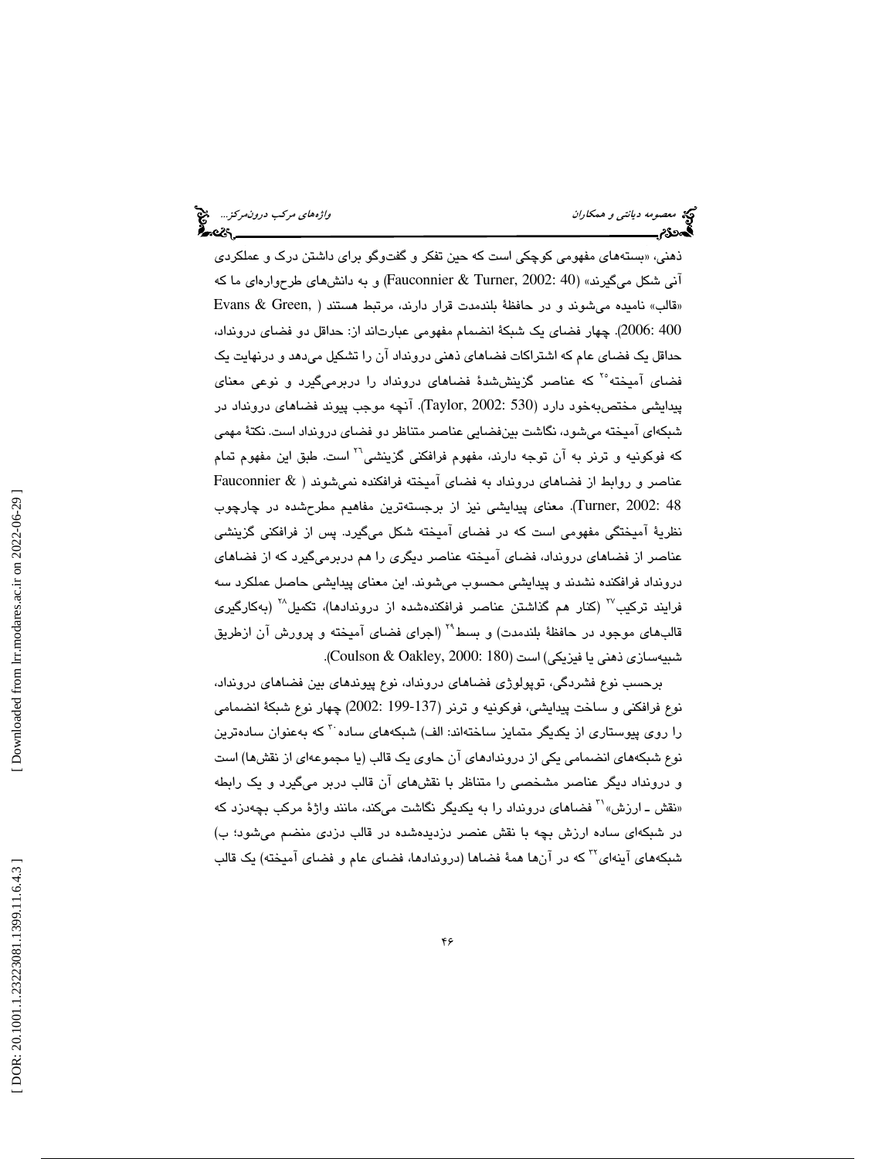ذهنی، «بستههای مفهومی کوچکی است که حین تفکر و گفتوگو برای داشتن درک و عملکرد*ی* آنی شکل میگیرند» (300 Fauconnier & Turner, 2002: 40) و به دانش های طرحوارهای ما که «قالب» نامیده میشوند و در حافظهٔ بلندمدت قرار دارند، مرتبط هستند ( ,Evans & Green 400 :2006). چهار فضاي يک شبكهٔ انضمام مفهومي عبارتاند از: حداقل دو فضاي درونداد، حداقل يک فضای عام که اشتراکات فضاهای ذهنی درونداد آن را تشکیل می،دهد و درنهایت یک فضای آمیخته<sup>۲۰</sup> که عناصر گزینششدهٔ فضاهای درونداد را دربرمیگیرد و نوعی معنای پيدايشي مختص به خود دارد (Taylor, 2002: 530). آنچه موجب پيوند فضاهای درونداد در شبکهای آمیخته میشود، نگاشت بینفضایی عناصر متناظر دو فضای درونداد است. نکتهٔ مهمی<br>که فوکونیه و ترنر به آن توجه دارند، مفهوم فرافکنی گزینشی<sup>۲۱</sup> است. طبق این مفهوم تمام عناصر و روابط از فضاهای درونداد به فضای آمیخته فرافكنده نمی شوند ( & Fauconnier Turner, 2002: 48). معنای پیدایشی نیز از برجستهترین مفاهیم مطرحشده در چارچوب نظريهٔ اميختگی مفهومی است كه در فضای اميخته شكل میگیرد. پس از فرافكنی گزینشی عناصر از فضاهای درونداد، فضای آمیخته عناصر دیگری را هم دربرمیگیرد كه از فضاهای درونداد فرافكنده نشدند و پيدايشي محسوب مي شوند. اين معناي پيدايشي حاصل عملكرد سه فرايند تركيب<sup>77</sup> (كنار هم گذاشتن عناصر فرافكندهشده از دروندادها)، تكميل<sup>7۸</sup> (بهكارگير*ی* قالبهای موجود در حافظهٔ بلندمدت) و بسط<sup>۲۹</sup> (اجرای فضای آمیخته و پرورش آن ازطریق شبیهسازی ذهنی یا فیزیکی) است (Coulson & Oakley, 2000: 180).

برحسب نوع فشردگی، توپولوژی فضاهای درونداد، نوع پیوندهای بین فضاهای درونداد، نوع فرافكنى و ساخت پيدايشي، فوكونيه و ترنر (137-199 :2002) چهار نوع شبكة انضمامي را روی پیوستاری از یکدیگر متمایز ساختهاند: الف) شبکههای ساده ب<sup>۳</sup> که بهعنوان سادهترین نوع شبكههاي انضمامي يكي از دروندادهاي آن حاوي يك قالب (يا مجموعهاي از نقشها) است و درونداد دیگر عناصر مشخصی را متناظر با نقشهای آن قالب دربر میگیرد و یک رابطه و درونداد دیگر عناصر مشخصی را متناظر با نقشهای ان قالب دربر میگیرد و یک رابطه<br>«نقش ـ ارزش»<sup>۲۱</sup> فضاهای درونداد را به یکدیگر نگاشت میکند، مانند واژهٔ مرکب بچهدزد که در شبكهای ساده ارزش بچه با نقش عنصر دزدیدهشده در قالب دزدی منضم میشود؛ ب) شبكههاي آينهاي™ كه در آنها همهٔ فضاها (دروندادها، فضاي عام و فضاي آميخته) يک قالب

 [\[ DOR: 20.1001.1.23223081.1399.11.6.4.3](https://dorl.net/dor/20.1001.1.23223081.1399.11.6.4.3) ] [\[ Downloaded from lrr.modares.ac.ir on 20](https://lrr.modares.ac.ir/article-14-26734-fa.html)22-06-29 ] Downloaded from lrr.modares.ac.ir on 2022-06-29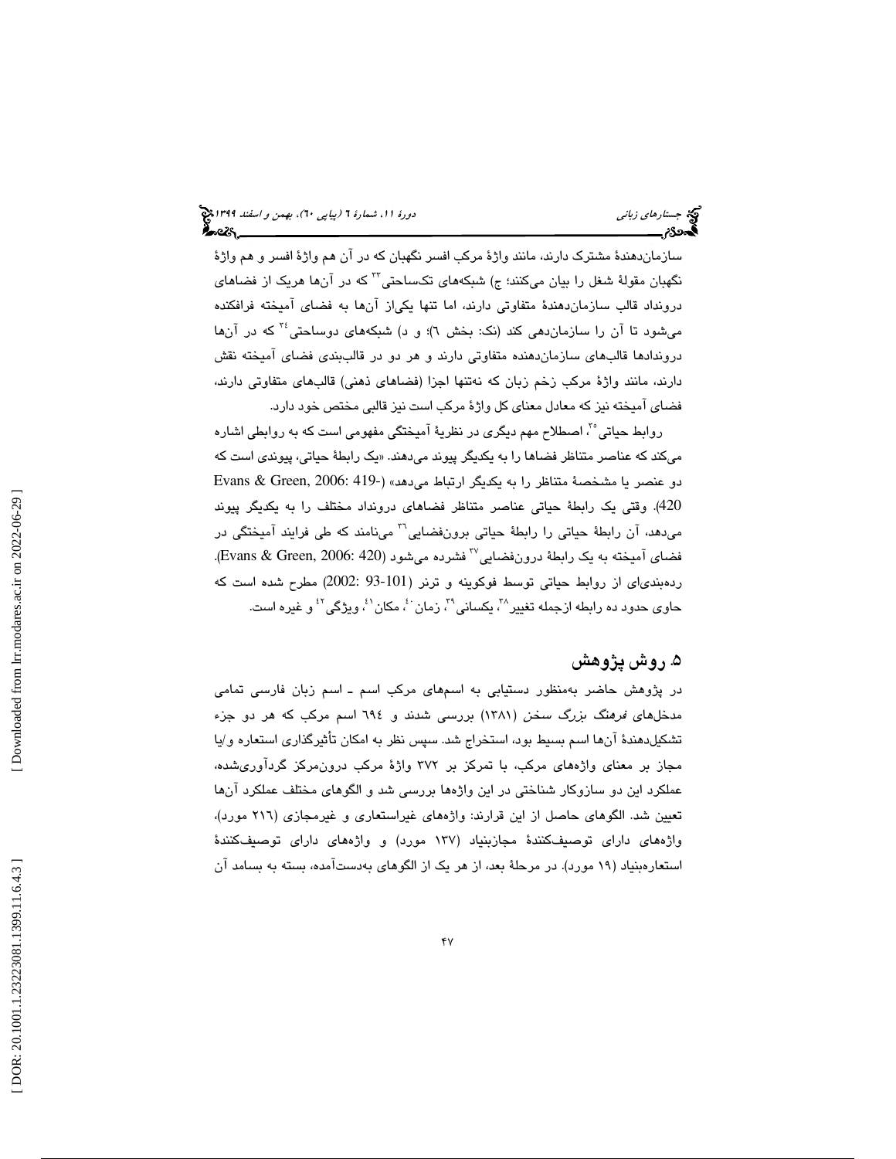سازماندهندهٔ مشترک دارند، مانند واژهٔ مرکب افسر نگهبان که در آن هم واژهٔ افسر و هم واژهٔ<br>نگهبان مقولهٔ شغل را بیان میکنند؛ ج) شبکههای تکساحتی™ که در آنها هریک از فضاها*ی* درونداد قالب سازماندهندهٔ متفاوتی دارند، اما تنها یکیاز انها به فضای امیخته فرافکنده میشود تا آن را سازماندهی كند (نك: بخش ٦)؛ و د) شبكههای دوساحتی ٔ آ كه در آنها دروندادها قالب۵ای سازماندهنده متفاوتی دارند و هر دو در قالببندی فضای امیخته نقش دارند، مانند واژة مركب زخم زبان كه نهتنها اجزا (فضاهاي ذهني) قالبهاي متفاوتي دارند، فضاي آميخته نيز كه معادل معناي كل واژة مركب است نيز قالبي مختص خود دارد .

روابط حياتي "، اصطلاح مهم ديگري در نظريهٔ آميختگي مفهومي است كه به روابطي اشاره میکند که عناصر متناظر فضاها را به یکدیگر پیوند میدهند. «یک رابطهٔ حیات*ی*، پیوند*ی* است که دو عنصر يا مشخصة متناظر را به يكديگر ارتباط مي دهد» ( Evans & Green, 2006: 419-420). وقتی یک رابطهٔ حیاتی عناصر متناظر فضاهای درونداد مختلف را به یکدیگر پیوند میدهد، آن رابطهٔ حیاتی را رابطهٔ حیاتی برونفضایی<sup>۲</sup>۲ مینامند که طی فرایند آمیختگی در فضاي آميخته به يک رابطهٔ درونفضايي™ فشرده ميشود (Evans & Green, 2006: 420). ردهبندى اى از روابط حياتي توسط فوكوينه و ترنر (101-93 :2002) مطرح شده است كه حاوی حدود ده رابطه ازجمله تغییر^"، یکسانی^"، زمان <sup>۶</sup>، مکان <sup>۶</sup>، ویژگی<sup>۰۲</sup> و غیره است.

# 5. روش پژوهش

در پژوهش حاضر بهمنظور دستيابي به اسمهاي مركب اسم ـ اسم زبان فارسي تمامي مدخلهاي فرهنگ بزرگ سخن ( 1381) بررسي شدند و 694 اسم مركب كه هر دو جزء تشكيلدهندة آنها اسم بسيط بود، استخراج شد. سپس نظر به امكان تأثيرگذاري استعاره و/يا مجاز بر معناي واژههاي مركب، با تمركز بر 372 واژة مركب درونمركز گردآوريشده، عملكرد اين دو سازوكار شناختي در اين واژهها بررسي شد و الگوهاي مختلف عملكرد آنها تعيين شد. الگوهاي حاصل از اين قرارند: واژههاي غيراستعاري و غيرمجازي (216 مورد)، واژههاي داراي توصيفكنندة مجازبنياد (137 مورد) و واژههاي داراي توصيفكنندة استعارهبنياد ( 19 مورد). در مرحلة بعد، از هر يك از الگوهاي بهدستآمده، بسته به بسامد آن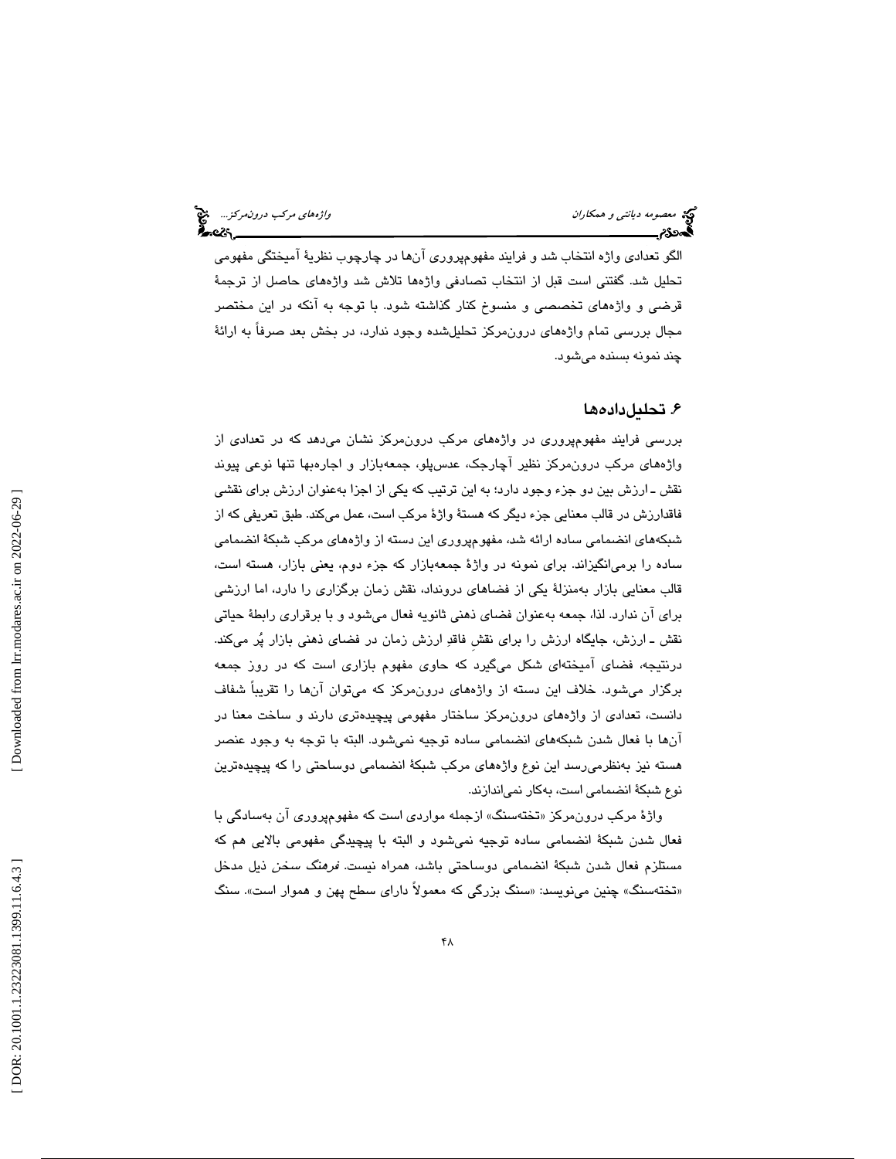الگو تعدادي واژه انتخاب شد و فرايند مفهومپروري آنها در چارچوب نظرية آميختگي مفهومي تحليل شد. گفتني است قبل از انتخاب تصادفي واژهها تلاش شد واژههاي حاصل از ترجمة قرضي و واژههاي تخصصي و منسوخ كنار گذاشته به شود. با توجه آنكه در اين مختصر مجال بررسي تمام واژههاي درونمركز تحليلشده وجود ندارد، در بخش بعد صرفاً به ارائة چند نمونه بسنده ميشود.

## ۶. تحليلدادهها

بررسي فرايند مفهومپروري در واژههاي مركب درونمركز نشان ميدهد كه در تعدادي از واژههاي مركب درونمركز نظير آچارجك، عدسپلو، جمعهبازار و اجارهبها تنها نوعي پيوند نقش ـ ارزش بين دو جزء وجود دارد؛ به اين ترتيب كه يكي از اجزا بهعنوان ارزش براي نقشي فاقدارزش در قالب معنايي جزء ديگر كه هستة واژة مركب است، عمل ميكند. طبق تعريفي كه از شبكههاي انضمامي ساده ارائه شد، مفهومپروري اين دسته از واژه هاي مركب شبكة انضمامي ساده را برميانگيزاند. براي نمونه در واژة جمعهبازار كه جزء دوم، يعني بازار، هسته است، قالب معنايي بازار بهمنزلة يكي از فضاهاي درونداد، نقش زمان برگزاري را دارد، اما ارزشي براي آن ندارد. لذا، جمعه بهعنوان فضاي ذهني ثانويه فعال ميشود و با برقراري رابطة حياتي نقش ـ ارزش، جايگاه ارزش را براي نقشِ فاقد ارزش زمان در فضاي ذهني بازار پر ميكند. درنتيجه، فضاي آميختهاي شكل ميگيرد كه حاوي مفهوم بازاري است كه در روز جمعه برگزار ميشود. خلاف اين دسته از واژههاي درونمركز كه ميتوان آنها را تقريباً شفاف دانست، تعدادي از واژههاي درونمركز ساختار مفهومي پيچيدهتري دارند و ساخت معنا در آنها با فعال شدن شبكههاي انضمامي ساده توجيه نميشود. البته با بهتوجه وجود عنصر هسته نيز بهنظرميرسد اين نوع واژه هاي مركب شبكة انضمامي دوساحتي را كه پيچيدهترين نوع شبكة انضمامي است، بهكار نمياندازند.

واژهٔ مرکب درون،مرکز «تختهسنگ» ازجمله مواردی است که مفهومپروری ان بهسادگی با فعال شدن شبكة انضمامي ساده توجيه نميشود و البته با پيچيدگي مفهومي بالايي هم كه مستلزم فعال شدن شبكة انضمامي دوساحتي باشد، همراه نيست. فرهنگ سخن ذيل مدخل «تختهسنگ» چنین مینویسد: «سنگ بزرگی که معمولاً دارای سطح پهن و هموار است». سنگ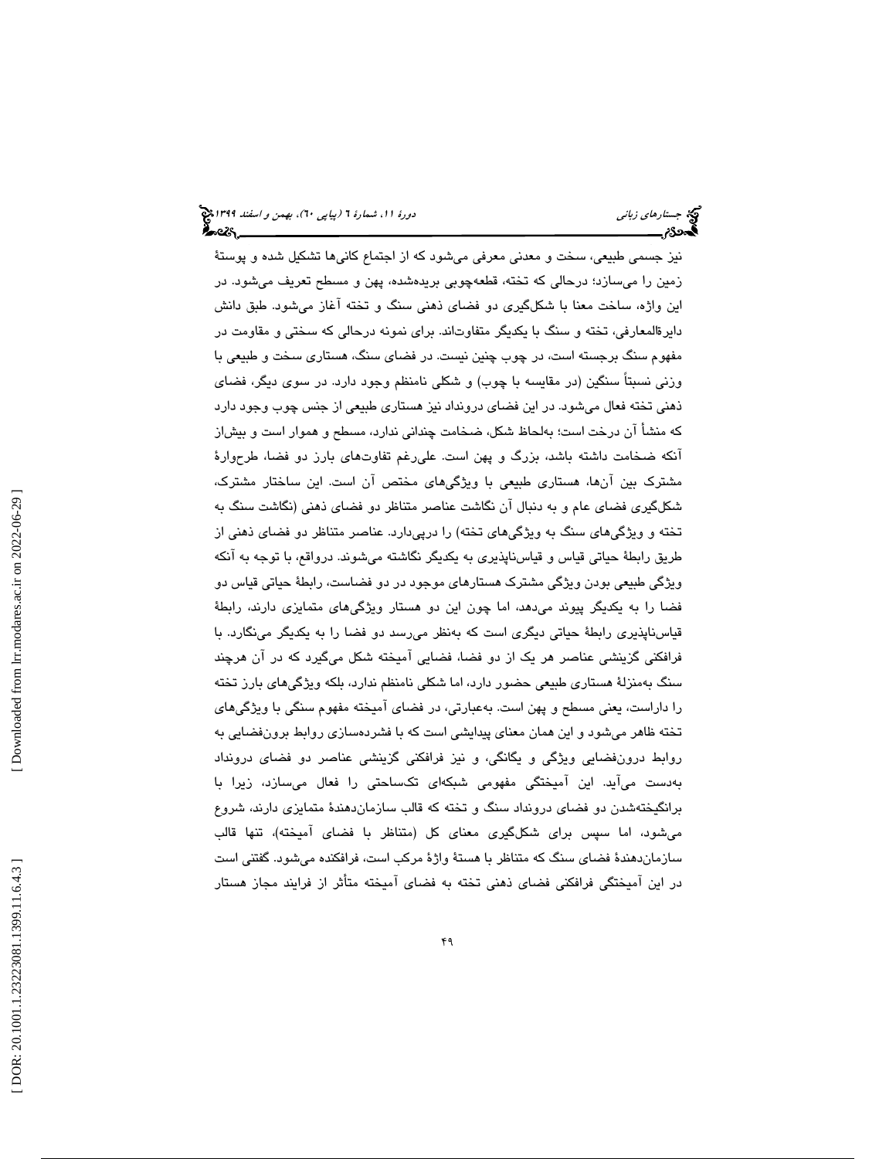نيز جسمي طبيعي، سخت و معدني معرفي ميشود كه از اجتماع كاني ها تشكيل شده و پوستة زمين را ميسازد؛ درحالي كه تخته، قطعهچوبي بريدهشده، پهن و مسطح تعريف ميشود. در اين واژه، ساخت معنا با شكل گيري دو فضاي ذهني سنگ و تخته آغاز ميشود. طبق دانش دايرةالمعارفي، تخته و سنگ با يكديگر متفاوتاند. براى نمونه درحالي كه سختي و مقاومت در مفهوم سنگ برجسته است، در چوب چنين نيست. در فضاي سنگ، هستاري سخت و طبيعي با وزني نسبتاً سنگين (در مقايسه با چوب) و شكلي نامنظم وجود دارد. در سوي ديگر، فضاي ذهني تخته فعال ميشود. در اين فضاي درونداد نيز هستاري طبيعي از جنس چوب وجود دارد كه منشأ آن درخت است؛ بهلحاظ شكل، ضخامت چنداني ندارد، مسطح و هموار است و بيشاز آنكه ضخامت داشته باشد، بزرگ و پهن است. عليرغم تفاوتهاي بارز دو فضا، طرحوارة مشترك بين آنها، هستاري طبيعي با ويژگيهاي مختص آن است. اين ساختار مشترك، شكلگيري فضاي عام و به دنبال آن نگاشت عناصر متناظر دو فضاي ذهني (نگاشت سنگ به تخته و ويژگيهاي سنگ به ويژگيهاي تخته) را درپيدارد. عناصر متناظر دو فضاي ذهني از طريق رابطة حياتي قياس و قياسن اپذيري به يكديگر نگاشته ميشوند. درواقع، با توجه به آنكه ويژگي طبيعي بودن ويژگي مشترك هستارهاي موجود در دو فضاست، رابطة حياتي قياس دو فضا را به يكديگر پيوند ميدهد، اما چون اين دو هستار ويژگيهاي متمايزي دارند، رابطة قياسناپذيري رابطة حياتي ديگري است كه بهنظر ميرسد دو فضا را به يكديگر مينگارد. با فرافكني گزينشي عناصر هر يك از دو فضا، فضايي آميخته شكل ميگيرد كه در آن هرچند سنگ بهمنزلة هستاري طبيعي حضور دارد، اما شكلي نامنظم ندارد، بلكه ويژگيهاي بارز تخته ع را داراست، يعني مسطح و پهن است. به بارتي، در فضاي آميخته مفهوم سنگي با ويژگيهاي تخته ظاهر ميشود و اين همان معناي پيدايشي است كه با فشردهسازي روابط برونفضايي به روابط درونفضايي ويژگي و يگانگي، و نيز فرافكني گزينشي عناصر دو فضاي درونداد بهدست ميآيد. اين آميختگي مفهومي شبكهاي تكساحتي را فعال ميسازد، زيرا با برانگيختهشدن دو فضاي درونداد سنگ و تخته كه قالب سازماندهندة متمايزي دارند، شروع ميشود، اما سپس براي شكلگيري معناي كل (متناظر با فضاي آميخته)، تنها قالب سازماندهندة فضاي سنگ كه متناظر با هستة واژة مركب است، فرافكنده ميشود. گفتني است در اين اميختگي فرافكني فضای ذهني تخته به فضای اميخته متاثر از فرايند مجاز هستار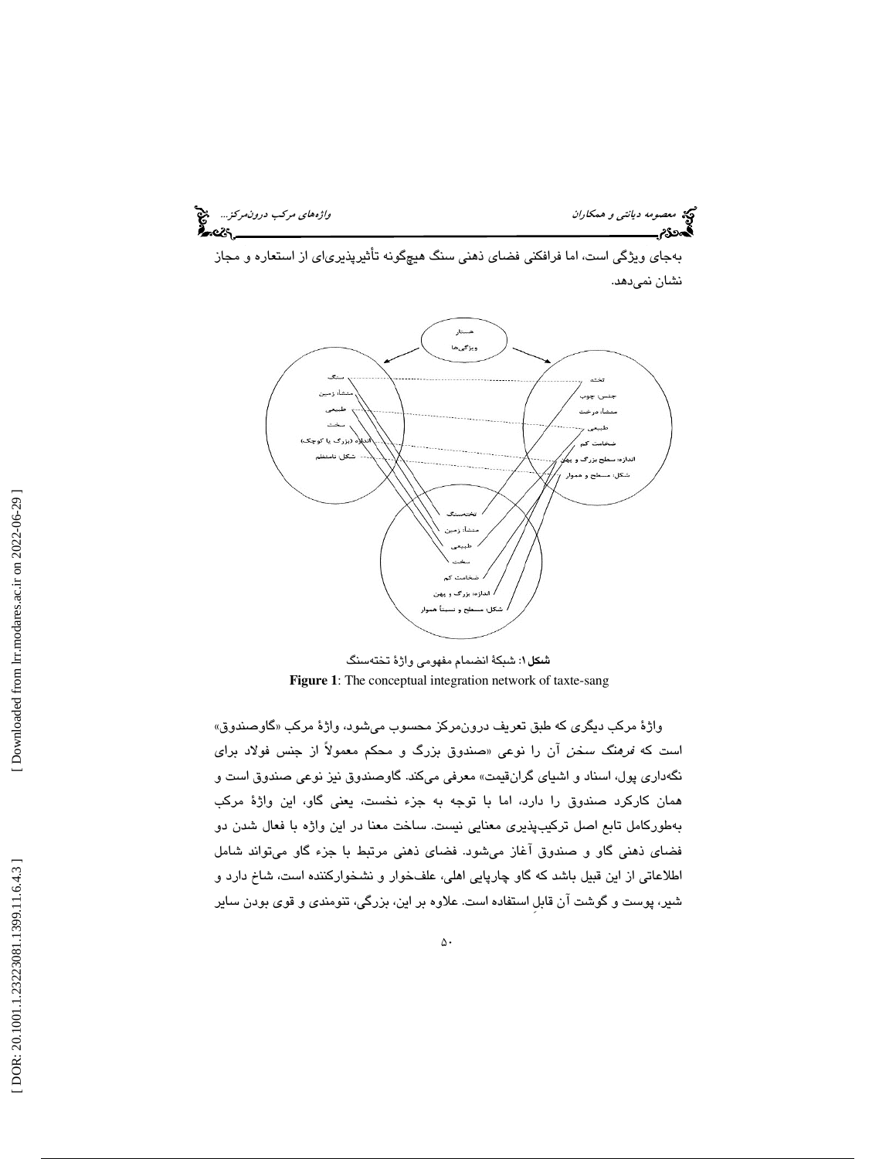می معصومه د*يانتي و همكاران* واژههاي مركب د*رونمركز...*. م<sup>عن</sup> از مركب درونمركز... معنی از مركب درونمركز... معنی<br>**اگست 2**6 هـ

 به جاي ويژگي است، اما فرافكني فضاي ذهني سنگ هيچگونه تأثيرپذيرياي از استعاره و مجاز نشان نميدهد.



: شبكة انضمام مفهومي واژة تختهسنگ شكل1 **Figure 1**: The conceptual integration network of taxte-sang

واژهٔ مركب ديگر*ى* كه طبق تعريف درون،مركز محسوب ميشود، واژهٔ مركب «گاوصندوق» است كه *فرهنگ سخن* آن را نوعى «صندوق بزرگ و محكم معمولاً از جنس فولاد براى نگهداري پول، اسناد و اشياي گرانقيمت» معرفي ميكند. گاوصندوق نيز نوعي صندوق است و همان كاركرد صندوق را دارد، اما با توجه به جزء نخست، يعني گاو، اين واژة مركب بهطوركامل تابع اصل تركيبپذيري معنايي نيست. ساخت معنا در اين واژه با فعال شدن دو فضاي ذهني گاو و صندوق آغاز ميشود. فضاي ذهني مرتبط با جزء گاو م يتواند شامل اطلاعاتي از اين قبيل باشد كه گاو چارپايي اهلي، علفخوار و نشخواركننده است، شاخ دارد و شير، پوست و گوشت آن قابلِ استفاده است. علاوه بر اين، بزرگي، تنومندي و قوي بودن ساير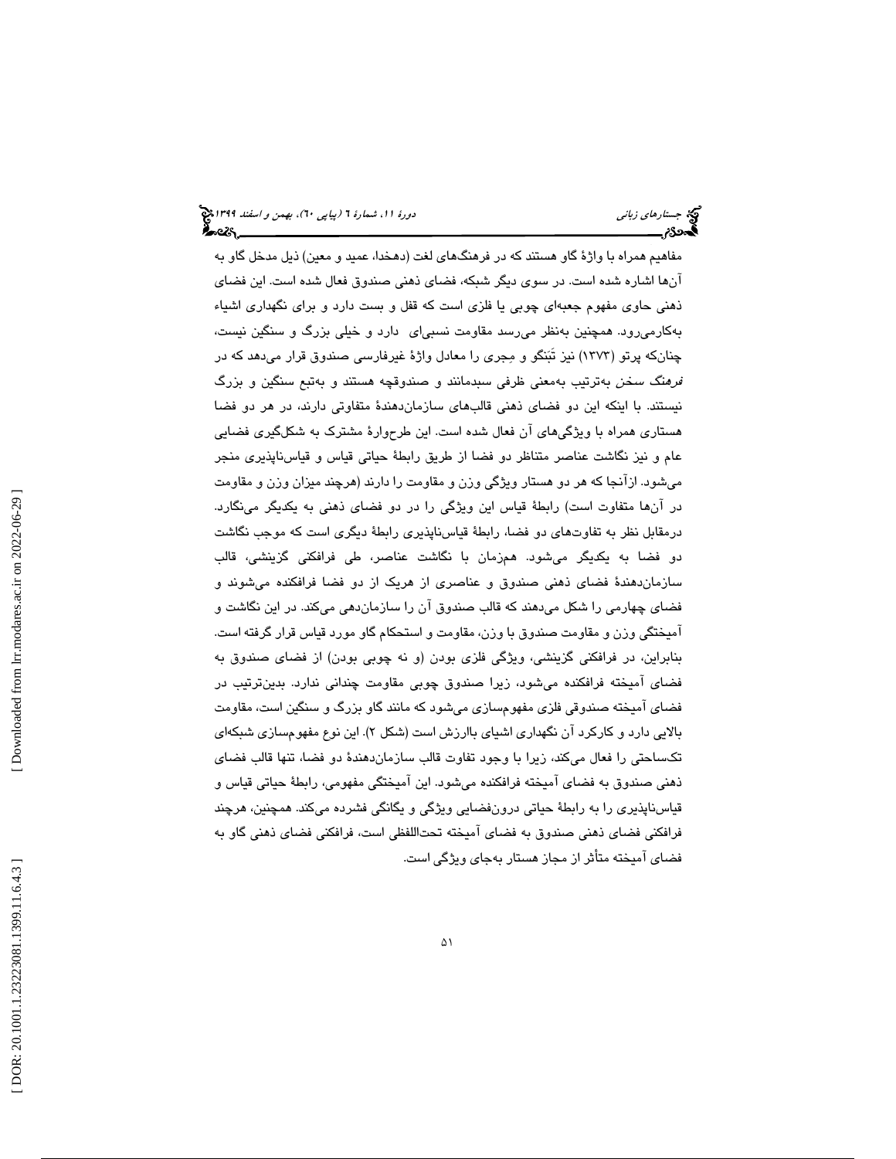مفاهيم همراه با واژة گاو هستند كه در فرهنگهاي لغت (دهخدا، عميد و معين) ذيل مدخل گاو به آنها اشاره شده است. در سوي ديگر شبكه، فضاي ذهني صندوق فعال شده است. اين فضاي ذهني حاوي مفهوم جعبهاي چوبي يا فلزي است كه قفل و بست دارد و براي نگهداري اشياء بهكارميرود. همچنين بهنظر ميرسد مقاومت نسبياي دارد و خيلي بزرگ و سنگين نيست، چنانكه پرتو (1373) نيز تَبنگو و مجري را معادل واژة غيرفارسي صندوق قرار ميدهد كه در فرهنگ سخن به ترتيب بهمعني ظرفي سبدمانند و صندوقچه هستند و بهتبع سنگين و بزرگ نيستند. با اينكه اين دو فضاي ذهني قالبهاي سازماندهندة متفاوتي دارند، در هر دو فضا هستاري همراه با ويژگيهاي آن فعال شده است. اين طرحوارة مشترك به شكلگيري فضايي عام و نيز نگاشت عناصر متناظر دو فضا از طريق رابطة حياتي قياس و قياسناپذيري منجر مي شود. ازآنجا كه هر دو هستار ويژگي وزن و مقاومت را دارند (هرچند ميزان وزن و مقاومت در آن ها متفاوت است) رابطة قياس اين ويژگي را در دو فضاي ذهني به يكديگر مينگارد. درمقابل نظر به تفاوتهاي دو فضا، رابطة قياسناپذيري رابطة ديگري است كه موجب نگاشت دو فضا به يكديگر ميشود. هم زمان با نگاشت عناصر، طي فرافكني گزينشي، قالب سازمان دهندهٔ فضای ذهنی صندوق و عناصری از هریک از دو فضا فرافکنده میشوند و فضاي چهارمي را شكل ميدهند كه قالب صندوق آن را سازمان دهي ميكند. در اين نگاشت و آميختگي وزن و مقاومت صندوق با وزن، مقاومت و استحكام گاو مورد قياس قرار گرفته است. بنابراين، در فرافكني گزينشي، ويژگي فلزي بودن (و نه چوبي بودن) از فضاي صندوق به فضاي آميخته فرافكنده ميشود، زيرا صندوق چوبي مقاومت چنداني ندارد. بدينترتيب در فضاي آميخته صندوقي فلزي مفهومسازي ميشود كه مانند گاو بزرگ و سنگين است، مقاومت بالايي دارد و كاركرد ان نگهداری اشيای باارزش است (شكل ۲). اين نوع مفهومسازی شبكهای تكساحتي را فعال ميكند، زيرا با وجود تفاوت قالب سازماندهندة دو فضا، تنها قالب فضاي ذهني صندوق به فضاي آميخته فرافكنده ميشود. اين آميختگي مفهومي، رابطة حياتي قياس و قياسناپذيري را به رابطة حياتي درونفضايي ويژگي و يگانگي فشرده ميكند. همچنين، هرچند فرافكني فضاي ذهني صندوق به فضاي آميخته تحتاللفظي است، فرافكني فضاي ذهني گاو به فضاي آميخته متأثر از مجاز هستار بهجاي ويژگي است.

 [\[ DOR: 20.1001.1.23223081.1399.11.6.4.3](https://dorl.net/dor/20.1001.1.23223081.1399.11.6.4.3) ] [\[ Downloaded from lrr.modares.ac.ir on 20](https://lrr.modares.ac.ir/article-14-26734-fa.html)22-06-29 ] Downloaded from lrr.modares.ac.ir on 2022-06-29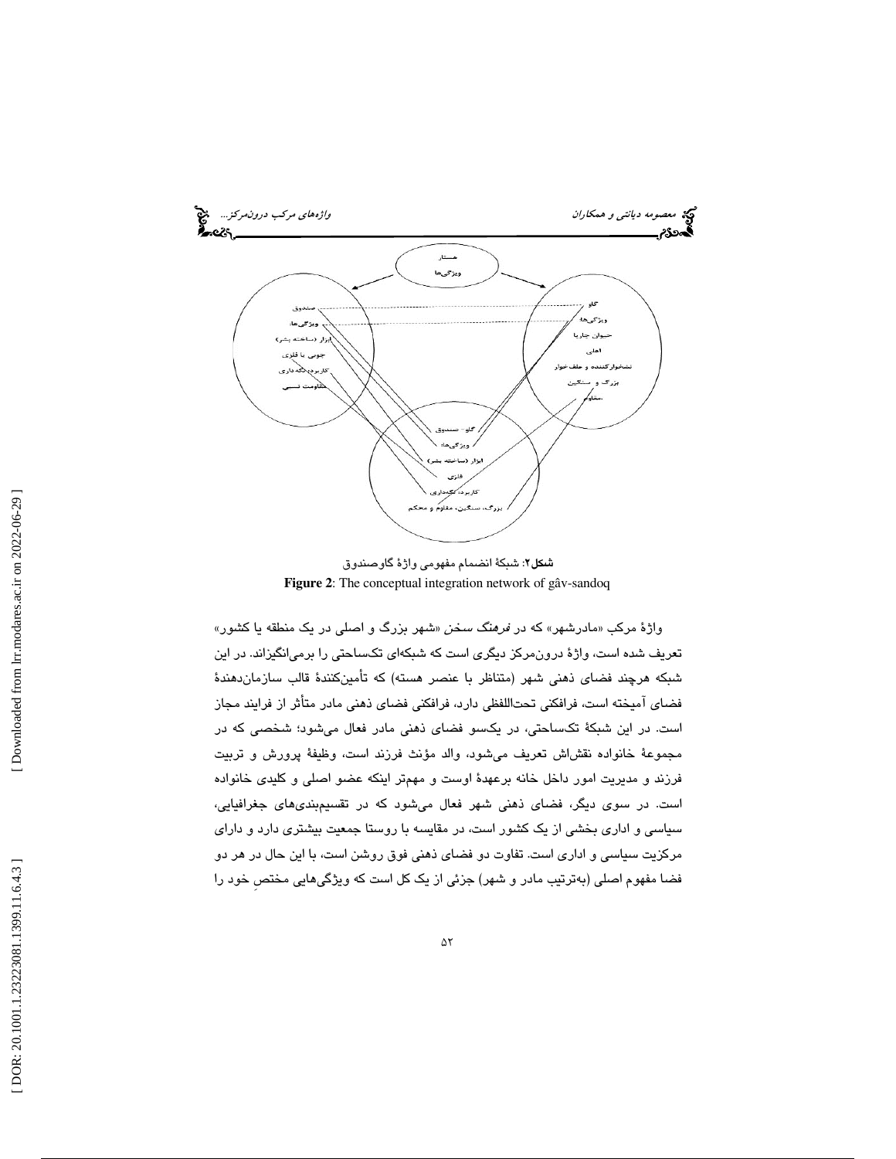

**شكل۲**: شبكهٔ انضمام مفهوم*ی* واژهٔ گاوصندوق **Figure 2**: The conceptual integration network of gâv-sandoq

واژهٔ مرکب «مادرشهر» که در *فرهنگ سخن* «شهر بزرگ و اصلی در یک منطقه یا کشور» تعريف شده است، واژة درونمركز ديگري است كه شبكهاي تكساحتي را برميانگيزاند. در اين شبكه هرچند فضاي ذهني شهر (متناظر با عنصر هسته) كه تأمينكنندة قالب سازماندهندة فضاي آميخته است، فرافكني تحت اللفظي دارد، فرافكني فضاي ذهني مادر متأثر از فرايند مجاز است. در اين شبكة تكساحتي، در يكسو فضاي ذهني مادر فعال ميشود؛ شخصي كه در مجموعة خانواده نقشاش تعريف ميشود، والد مؤنث فرزند است، وظيفة پرورش و تربيت فرزند و مديريت امور داخل خانه برعهدة اوست و مهمتر اينكه عضو اصلي و كليدي خانواده است. در سوي ديگر، فضاي ذهني شهر فعال ميشود كه در تقسيمبنديهاي جغرافيايي، سياسي و اداري بخشي از يك كشور است، در مقايسه با روستا جمعيت بيشتري دارد و داراي مركزيت سياسي و اداري است. تفاوت دو فضاي ذهني فوق روشن است، با اين حال در هر دو فضا مفهوم اصلي (بهترتيب مادر و شهر) جزئي از يك كل است كه ويژگيهايي مختصِ خود را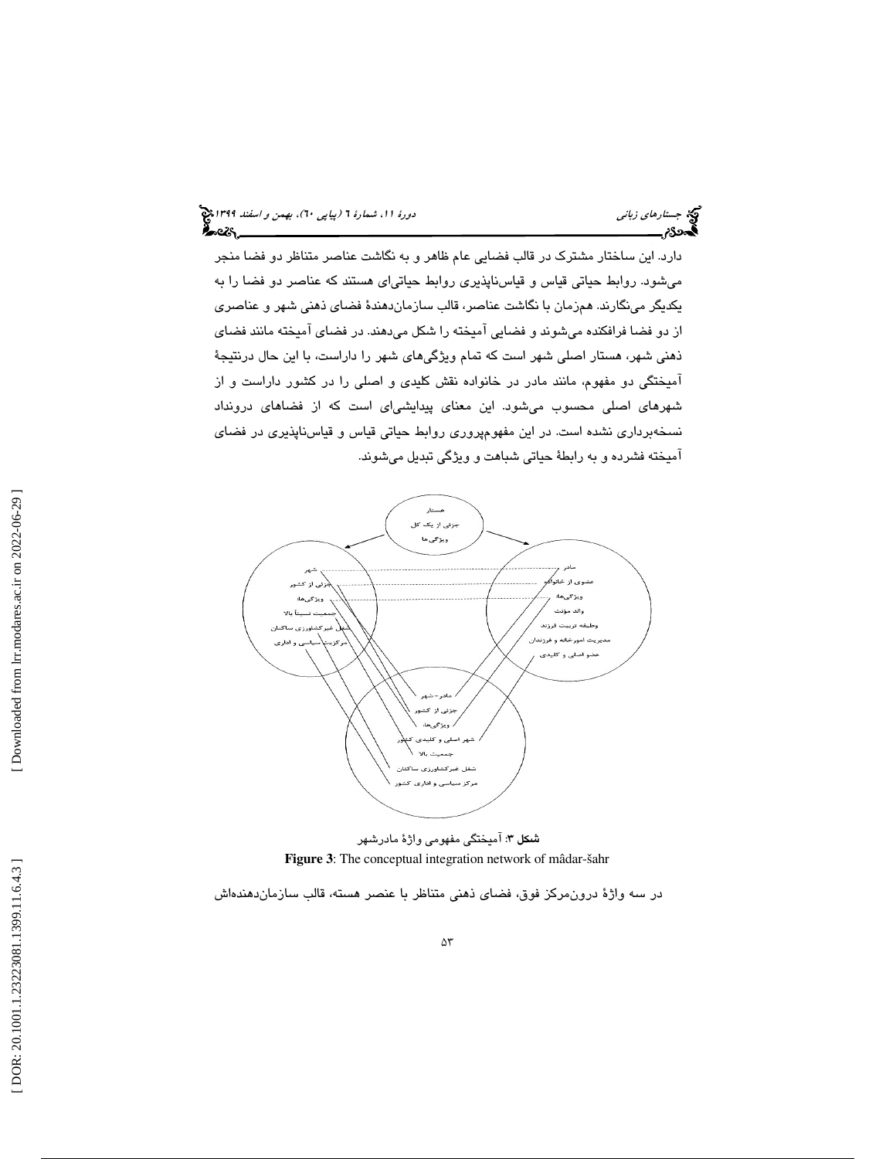دارد. اين ساختار مشترك در قالب فضايي عام ظاهر و به نگاشت عناصر متناظر دو فضا منجر ميشود. روابط حياتي قياس و قياسناپذيري روابط حياتي اي هستند كه عناصر دو فضا را به يكديگر مينگارند. همزمان با نگاشت عناصر، قالب سازمان دهندة فضاي ذهني شهر و عناصري از دو فضا فرافكنده ميشوند و فضايي آميخته را شكل ميدهند. در فضاي آميخته مانند فضاي ذهني شهر، هستار اصلي شهر است كه تمام ويژگيهاي شهر را داراست، با اين حال درنتيجهٔ آميختگي دو مفهوم، مانند مادر در خانواده نقش كليدي و اصلي را در كشور داراست و از شهرهاي اصلي محسوب ميشود. اين معناي پيدايشياي است كه از فضاهاي درونداد نسخه برداري نشده است. در اين مفهومپروري روابط حياتي قياس و قياسناپذيري در فضاي ميخته فشرده و به رابطة حياتي شباهت و ويژگي تبديل ميشوند. آ



**شکل ۳:** آمیختگی مفهومی واژهٔ مادرشهر **Figure 3**: The conceptual integration network of mâdar-šahr

در سه واژة درون مركز فوق، فضاي ذهني متناظر با عنصر هسته، قالب سازماندهندهاش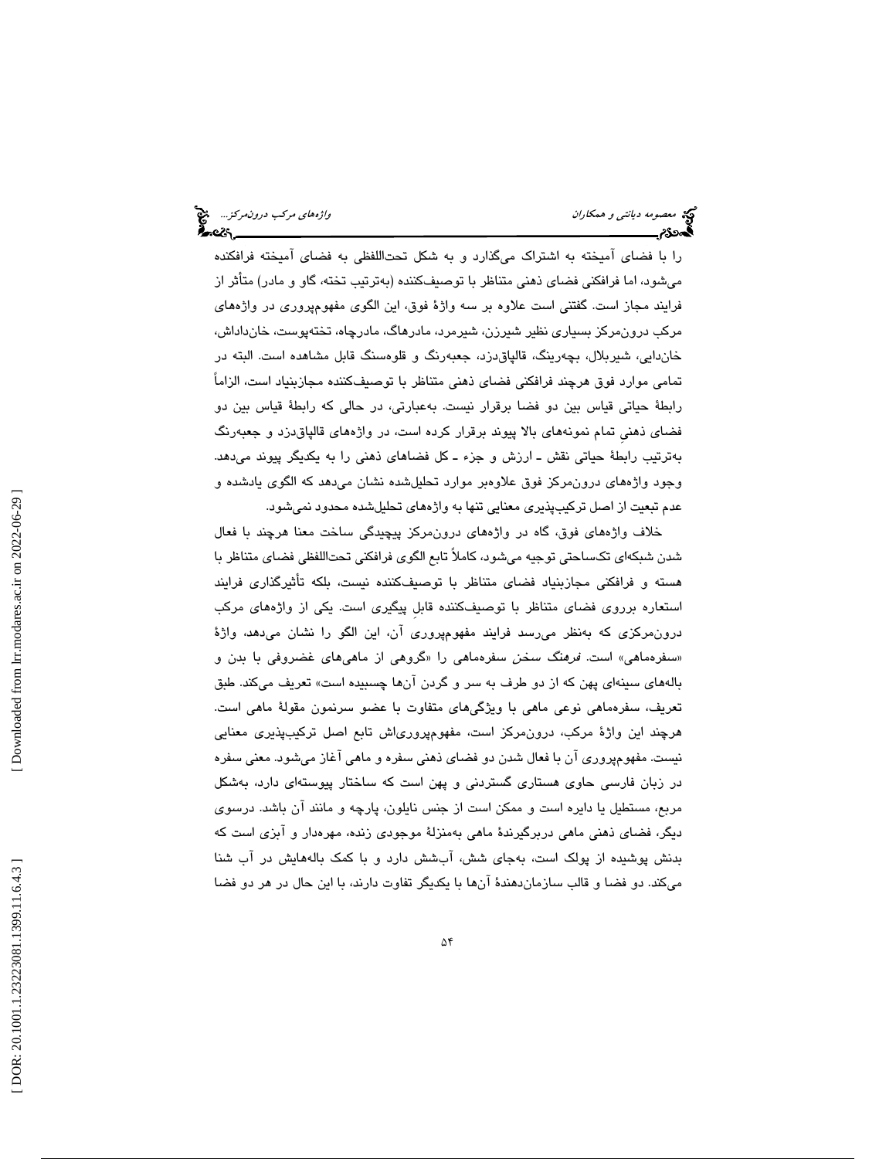را با فضاي آميخته به اشتراك مي گذارد و به شكل تحتاللفظي به فضاي آميخته فرافكنده ميشود، اما فرافكني فضاي ذهني متناظر با توصيفكننده (بهترتيب تخته، گاو و مادر) متأثر از فرايند مجاز است. گفتني است علاوه بر سه واژة فوق، اين الگوي مفهومپروري در واژههاي مركب درونمركز بسياري نظير شيرزن، شيرمرد، مادرهاگ، مادرچاه، تختهپوست، خانداداش، خاندايي، شيربلال، بچهرينگ، قالپاقدزد، جعبهرنگ و قلوه سنگ قابل مشاهده است. البته در تمامي موارد فوق هرچند فرافكني فضاي ذهني متناظر با توصيفكننده مجازبنياد است، الزاماً رابطهٔ حیاتی قیاس بین دو فضا برقرار نیست. بهعبارتی، در حالی كه رابطهٔ قیاس بین دو فضای ذهنی تمام نمونههای بالا پیوند برقرار کرده است، در واژههای قالپاق،رزد و جعبهرنگ به ترتيب رابطة حياتي نقش ـ ارزش و جزء ـ كل فضاهاي ذهني را به يكديگر پيوند ميدهد. وجود واژههاي درونمركز فوق علاوهبر موارد تحليل شده نشان ميدهد كه الگوي يادشده و عدم تبعيت از اصل تركيبپذيري معنايي تنها به واژههاي تحليلشده محدود نميشود.

خلاف واژههاي فوق، گاه در واژههاي درونمركز پيچيدگي ساخت معنا هرچند با فعال شدن شبكهاي تك ساحتي توجيه ميشود، كاملاً تابع الگوي فرافكني تحتاللفظي فضاي متناظر با هسته و فرافكني مجازبنياد فضاي متناظر با توصيفكننده نيست، بلكه تأثيرگذاري فرايند استعاره برروي فضاي متناظر با توصيفكننده قابلِ پيگيري است. يكي از واژههاي مركب رونمركزي كه بهنظر ميرسد فرايند مفهومپروري آن، اين الگو را نشان ميدهد، واژة د «سفرهماهی» است. *فرهنگ سخن* سفرهماهی را «گروهی از ماهیهای غضروفی با بدن و بالههاي سينهاي پهن كه از دو طرف به سر و گردن آنها چسبيده است» تعريف ميكند. طبق تعريف، سفرهماهي نوعي ماهي با ويژگيهاي متفاوت با عضو سرنمون مقولة ماهي است. هرچند اين واژة مركب، درونمركز است، مفهومپرورياش تابع اصل تركيبپذيري معنايي نيست. مفهوم پروري آن با فعال شدن دو فضاي ذهني سفره و ماهي آغاز ميشود. معني سفره در زبان فارسي حاوي هستاري گستردني و پهن است كه ساختار پيوستهاي دارد، بهشكل مربع، مستطيل يا دايره است و ممكن است از جنس نايلون، پارچه و مانند آن باشد. درسوي ديگر، فضاي ذهني ماهي دربرگيرندة ماهي بهمنزلة موجودي زنده، مهرهدار و آبزي است كه بدنش پوشيده از پولك است، بهجاي شش، آبشش دارد و با كمك بالههايش در آب شنا ميكند. دو فضا و قالب سازماندهندة آنها با يكديگر تفاوت دارند، با اين حال در هر دو فضا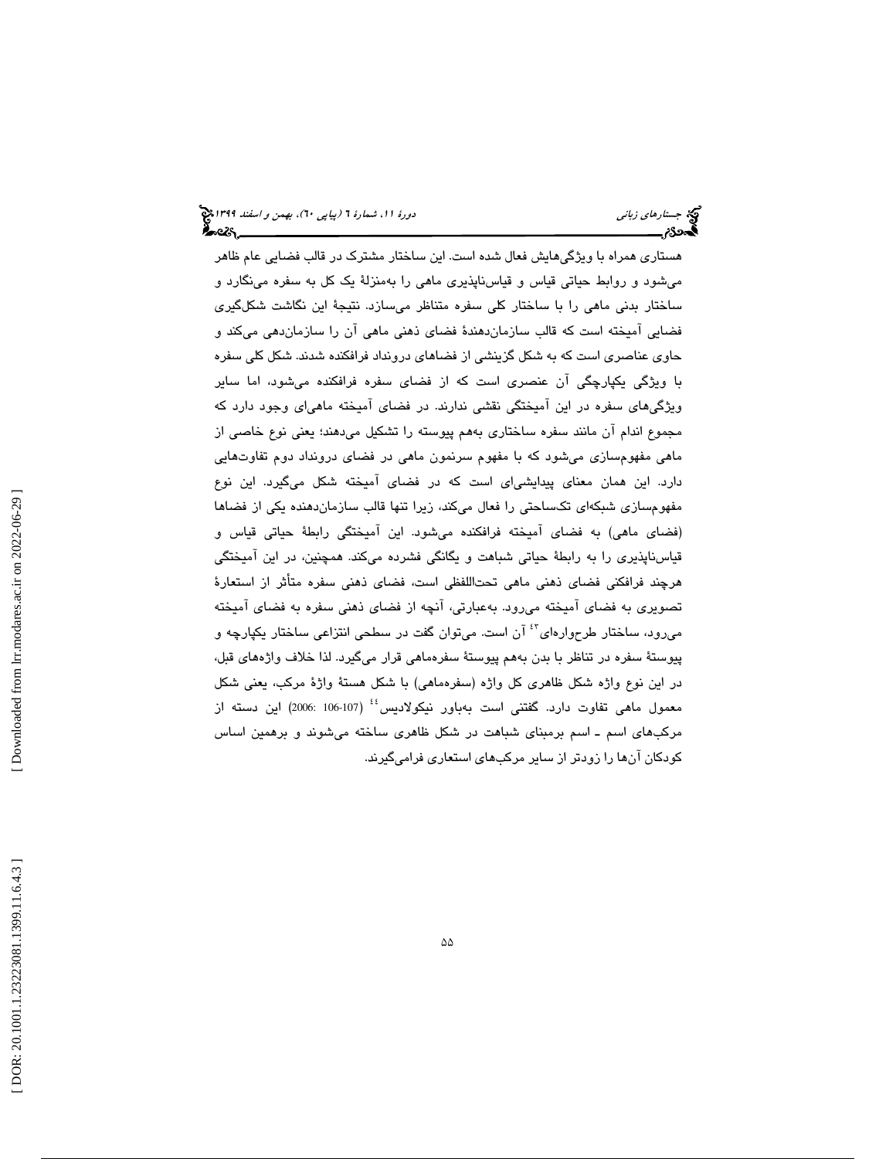هستاري همراه با ويژگيهايش فعال شده است. اين ساختار مشترك در قالب فضايي عام ظاهر ميشود و روابط حياتي قياس و قياسناپذيري ماهي را بهمنزلة يك كل به سفره مينگارد و ساختار بدني ماهي را با ساختار كلي سفره متناظر ميسازد. نتيجة اين نگاشت شكلگيري فضايي آميخته است كه قالب سازماندهندة فضاي ذهني ماهي آن را سازماندهي ميكند و حاوی عناصری است كه به شكل گزینشی از فضاهای درونداد فرافكنده شدند. شكل كلی سفره با ويژگي يكپارچگي آن عنصري است كه از فضاي سفره فرافكنده ميشود، اما ساير ويژگيهاي سفره در اين آميختگي نقشي ندارند. در فضاي آميخته ماهياي وجود دارد كه به مجموع اندام آن مانند سفره ساختاري هم پيوسته را تشكيل ميدهند؛ يعني نوع خاصي از ماهي مفهومسازي ميشود كه با مفهوم سرنمون ماهي در فضاي درونداد دوم تفاوتهايي دارد. اين همان معناي پيدايشياي است كه در فضاي آميخته شكل ميگيرد. اين نوع مفهومسازي شبكهاي تك ساحتي را فعال ميكند، زيرا تنها قالب سازماندهنده يكي از فضاها (فضاي ماهي) به فضاي آميخته فرافكنده مي شود. اين آميختگي رابطهٔ حياتي قياس و قياس ناپذيري را به رابطة حياتي شباهت و يگانگي فشرده ميكند. همچنين، در اين آميختگي هرچند فرافكني فضاي ذهني ماهي تحتاللفظي است، فضاي ذهني سفره متأثر از استعارة تصويري به فضاي آميخته مي رود. بهعبارتي، آنچه از فضاي ذهني سفره به فضاي آميخته ميرود، ساختار طرحوارهاي<sup>؟؟</sup> آن است. ميتوان گفت در سطحي انتزاعي ساختار يكپارچه و پيوستة سفره در تناظر با بدن به هم پيوستة سفرهماهي قرار ميگيرد. لذا خلاف واژههاي قبل ، در اين نوع واژه شكل ظاهرى كل واژه (سفرهماهى) با شكل هستهٔ واژهٔ مركب، يعنى شكل معمول ماهی تفاوت دارد. گفتنی است بهباور نیكولادیس<sup>؛؛</sup> (107-106 2006) این دسته از مركب هاي اسم ـ اسم برمبناي شباهت در شكل ظاهري ساخته ميشوند و برهمين اساس كودكان آنها را زودتر از ساير مركبهاي استعاري فراميگيرند.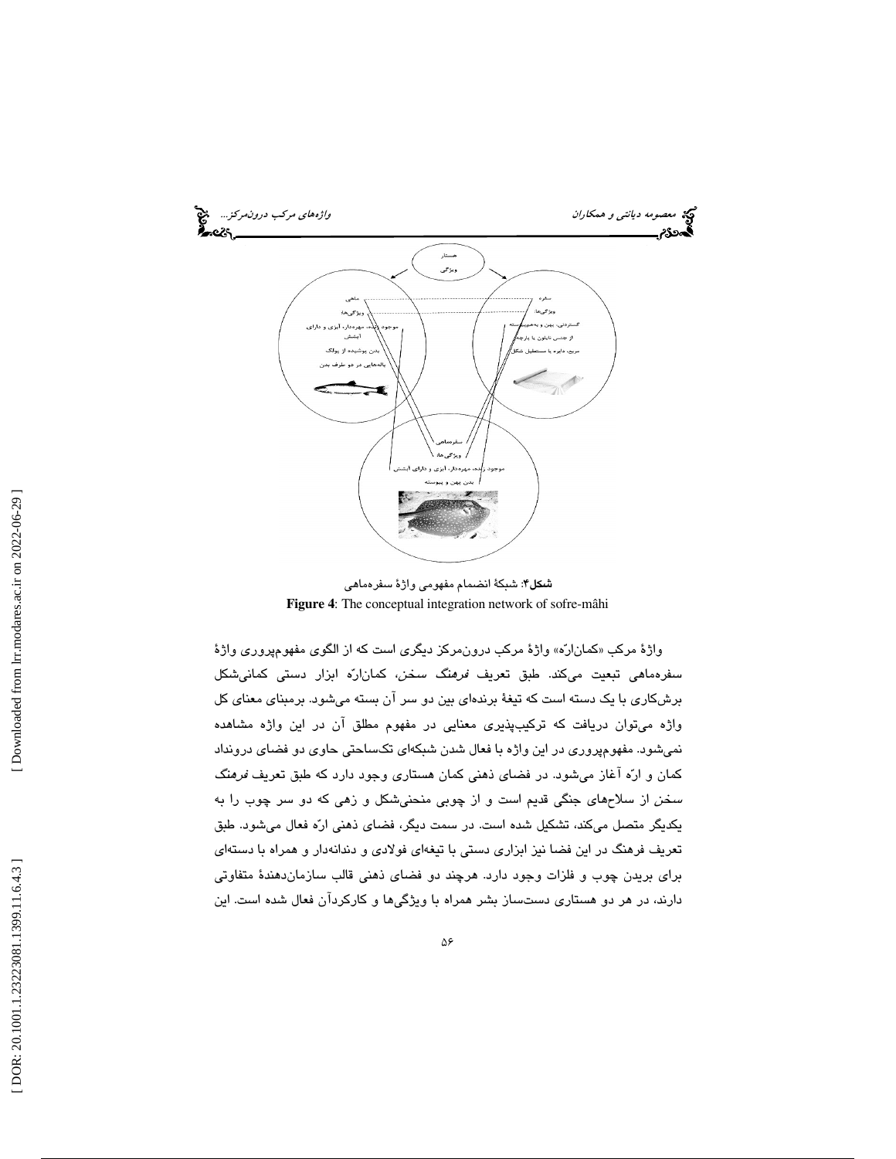

**شىكل۴**: شبكةٔ انضىمام مفهومى واژهٔ سفرەما*هى* **Figure 4**: The conceptual integration network of sofre-mâhi

واژهٔ مركب «كمانارّه» واژهٔ مركب درون،مركز ديگرى است كه از الگوى مفهومٖپرورى واژهٔ سفرهماهي تبعيت ميكند. طبق تعريف *فرهنگ سخن*، كماناره ابزار دستي كمانيشكل برشكاري با يك دسته است كه تيغة برندهاي بين دو سر آن بسته ميشود. برمبناي معناي كل واژه ميتوان دريافت كه تركيبپذيري معنايي در مفهوم مطلق آن در اين واژه مشاهده نميشود. مفهومپروري در اين واژه با فعال شدن شبكهاي تكساحتي حاوي دو فضاي درونداد كمان و اره آغاز ميشود. در فضاي ذهني كمان هستاري وجود دارد كه طبق تعريف فرهنگ سخن از سلاحهاي جنگي قديم است و از چوبي منحني شكل و زهي كه دو سر چوب را به يكديگر متصل ميكند، تشكيل شده است. در سمت ديگر، فضاي ذهني اره فعال ميشود. طبق تعريف فرهنگ در اين فضا نيز ابزاري دستي با تيغهاي فولادي و دندانهدار و همراه با دستهاي براي بريدن چوب و فلزات وجود دارد. هرچند دو فضاي ذهني قالب سازماندهندة متفاوتي دارند، در هر دو هستاري دستساز بشر همراه با ويژگي ها و كاركردآن فعال شده است. اين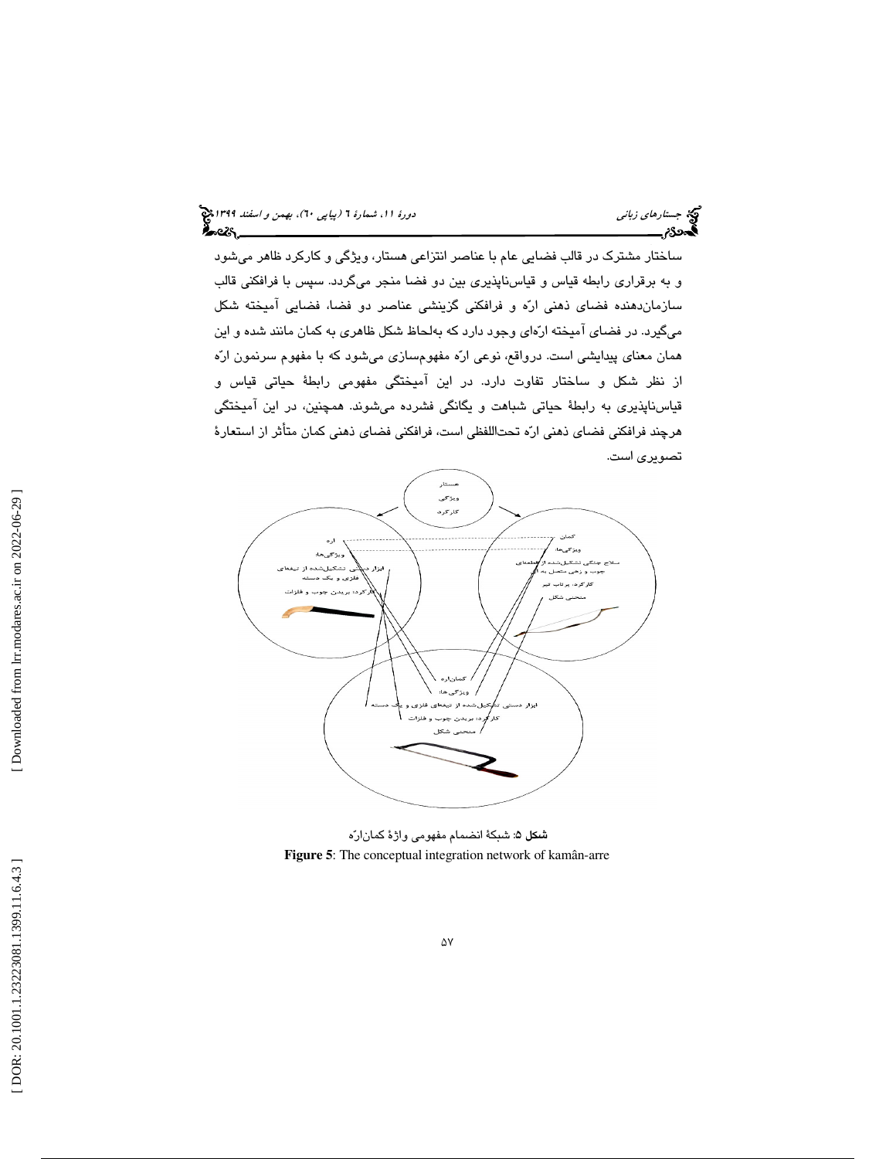ساختار مشترك در قالب فضايي عام با عناصر انتزاعي هستار، ويژگي و كاركرد ظاهر ميشود و به برقراري رابطه قياس و قياسناپذيري بين دو فضا منجر ميگردد. سپس با فرافكني قالب سازماندهنده فضاي ذهني اره و فرافكني گزينشي عناصر دو فضا، فضايي آميخته شكل ميگيرد. در فضاي آميخته ارهاي وجود دارد كه بهلحاظ شكل ظاهري به كمان مانند شده و اين همان معناي پيدايشي است. درواقع، نوعي اره مفهومسازي ميشود كه با مفهوم سرنمون اره از نظر شكل و ساختار تفاوت دارد. در اين آميختگي مفهومي رابطة حياتي قياس و قياسناپذيري به رابطة حياتي شباهت و يگانگي فشرده ميشوند. همچنين، در اين آميختگي هرچند فرافكني فضاي ذهني اره تحت اللفظي است، فرافكني فضاي ذهني كمان متأثر از استعارة تصويري است.



**شكل ۵**: شبكةٔ انضمام مفهوم*ی* واژهٔ ك*م*انارّه **Figure 5**: The conceptual integration network of kamân-arre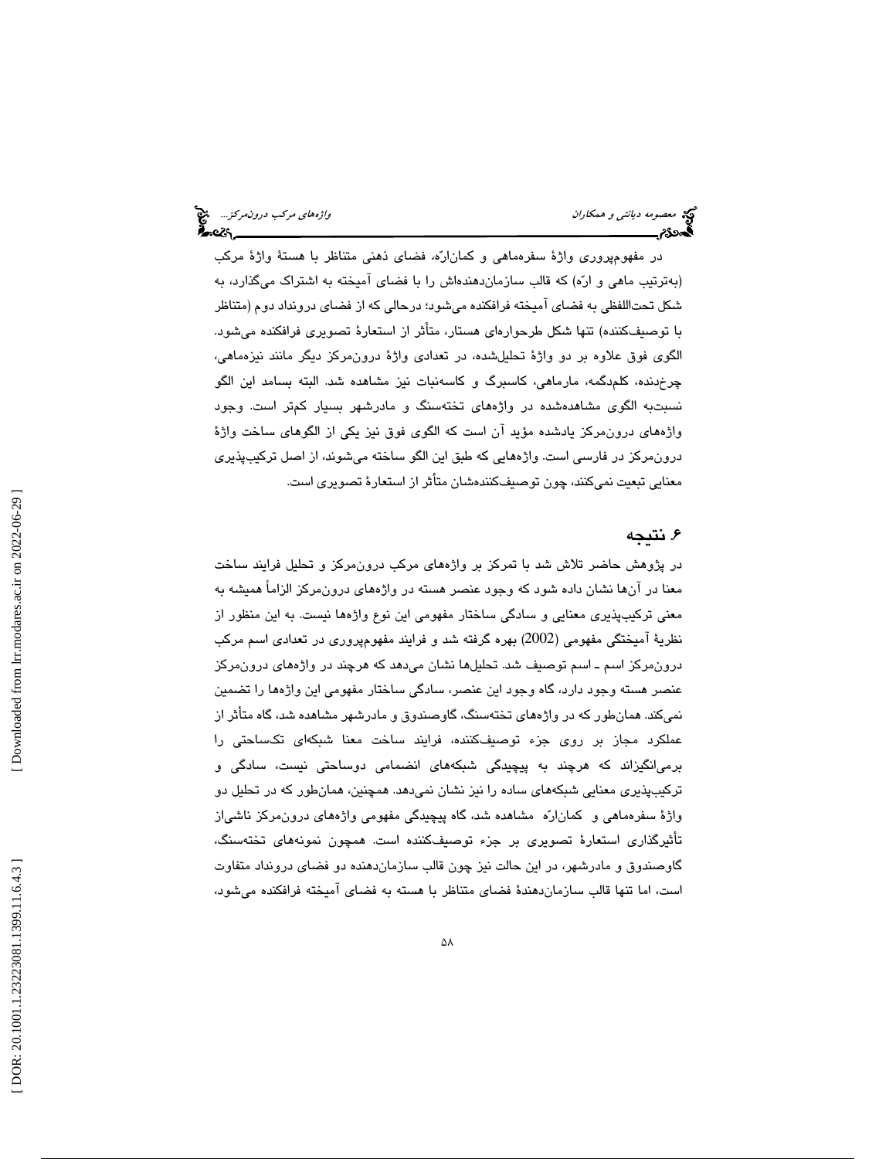در مفهومپروري واژة سفرهماهي و كماناره، فضاي ذهني متناظر با هستة واژة مركب (بهترتيب ماهي و اره) كه قالب سازماندهندهاش را با فضاي آميخته به اشتراك ميگذارد، به شكل تحتاللفظي به فضاي آميخته فرافكنده ميشود؛ درحالي كه از فضاي درونداد دوم (متناظر با توصيفكننده) تنها شكل طرحوارهاي هستار، متأثر از استعارة تصويري فرافكنده ميشود. الگوي فوق علاوه بر دو واژة تحليلشده، در تعدادي واژة درونمركز ديگر مانند نيزهماهي، چرخدنده، كلمدگمه، مارماهي، كاسبرگ و كاسهنبات نيز مشاهده شد. البته بسامد اين الگو نسبتبه الگوي مشاهدهشده در واژههاي تختهسنگ و مادرشهر بسيار كمتر است. وجود واژههاي درونمركز يادشده مؤ يد آن است كه الگوي فوق نيز يكي از الگوهاي ساخت واژة درونمركز در فارسي است. واژههايي كه طبق اين الگو ساخته ميشوند، از اصل تركي بپذيري معنايي تبعيت نميكنند، چون توصيفكنندهشان متأثر از استعارة تصويري است.

## . نتيجه 6

در پژوهش حاضر تلاش شد با تمركز بر واژههاي مركب درون مركز و تحليل فرايند ساخت معنا در آنها نشان داده شود كه وجود عنصر هسته در واژههاي درونمركز الزاماً هميشه به معني تركيبپذيري معنايي و سادگي ساختار مفهومي اين نوع واژهها نيست. به اين منظور از نظرية آميختگي مفهومي (2002 ) بهره گرفته شد و فرايند مفهوم پروري در تعدادي اسم مركب درونمركز اسم ـ اسم توصيف شد. تحليلها نشان ميدهد كه هرچند در واژههاي در ونمركز عنصر هسته وجود دارد، گاه وجود اين عنصر، سادگي ساختار مفهومي اين واژهها را تضمين نميكند. همانطور كه در واژههاي تخته سنگ، گاوصندوق و مادرشهر مشاهده شد، گاه متأثر از عملكرد مجاز بر روي جزء توصيفكننده، فرايند ساخت معنا شبكهاي تكساحتي را برم يانگيزاند كه هرچند به پيچيدگي شبكههاي انضمامي دوساحتي نيست، سادگي و تركيبپذيري معنايي شبكه هاي ساده را نيز نشان نميدهد. همچنين، همانطور كه در تحليل دو واژة سفرهماهي و كماناره مشاهده شد، گاه پيچيدگي مفهومي واژههاي درونمركز ناشياز تأثيرگذاري استعارة تصويري بر جزء توصيفكننده است. يها همچون نمونه تختهسنگ، گاوصندوق و مادرشهر، در اين حالت نيز چون قالب سازمان دهنده دو فضاي درونداد متفاوت است، اما تنها قالب سازماندهندة فضاي متناظر با هسته به فضاي آميخته فرافكنده ميشود،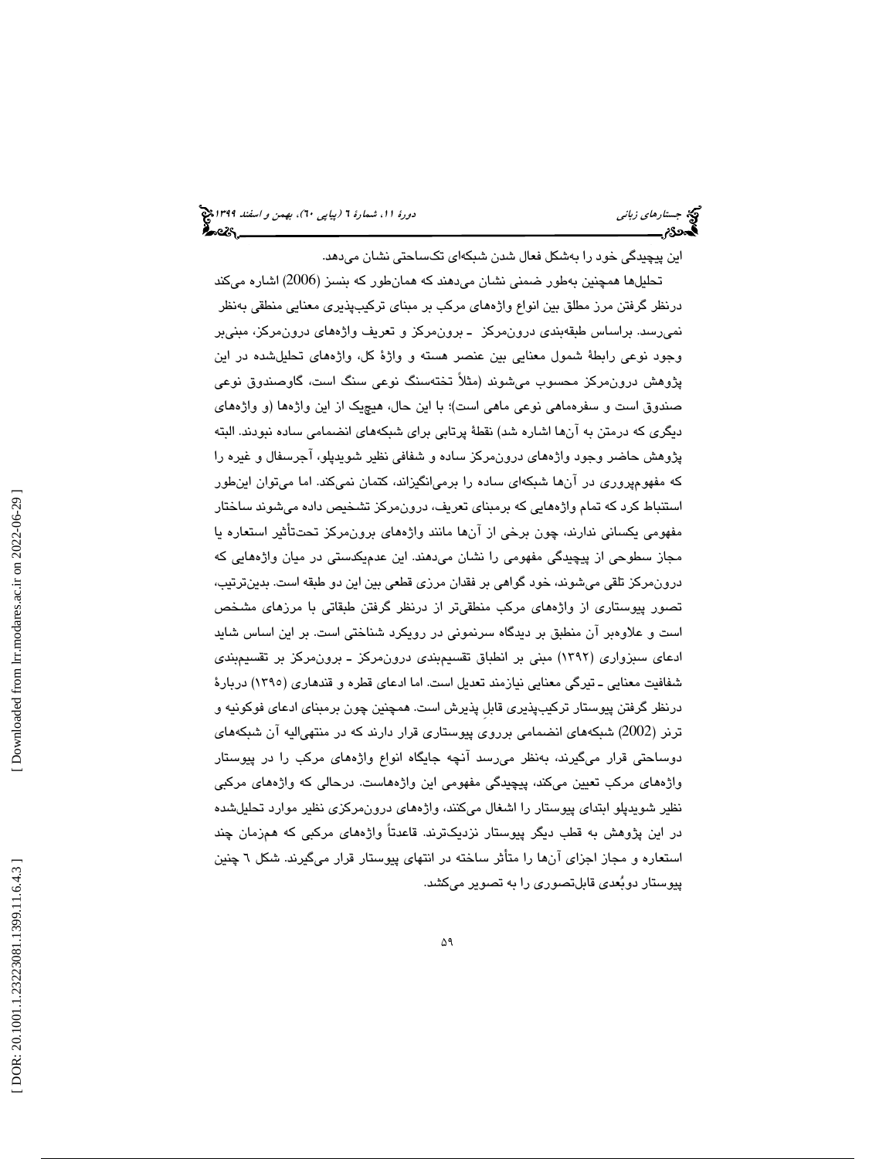اين پيچيدگي خود را به شكل فعال شدن شبكهاي تكساحتي نشان ميدهد.

تحليلها همچنين بهطور ضمني نشان ميدهند كه همانطور كه بنسز (2006) اشاره ميكند درنظر گرفتن مرز مطلق بين انواع واژههاي مركب بر مبناي تركيبپذيري معنايي منطقي بهنظر نميرسد. براساس طبقهبندي درونمركز ـ برونمركز و تعريف واژههاي درونمركز، مبنيبر وجود نوعي رابطة شمول معنايي بين عنصر هسته و واژة كل، واژههاي تحليلشده در اين پژوهش درونمركز محسوب ميشوند (مثلاً تختهسنگ نوعي سنگ است، گاوصندوق نوعي صندوق است و سفرهماهي نوعي ماهي است)؛ با اين حال، هيچيك از اين واژهها (و واژههاي ديگري كه درمتن به آنها اشاره شد) نقطة پرتابي براي شبكههاي انضمامي ساده نبودند. البته پژوهش حاضر وجود واژههاي درون مركز ساده و شفافي نظير شويدپلو، آجرسفال و غيره را كه مفهومپروري در آنها شبكهاي ساده را برميانگيزاند، كتمان نميكند. اما ميتوان اينطور استنباط كرد كه تمام واژههايي كه برمبناي تعريف، درون مركز تشخيص داده ميشوند ساختار مفهومي يكساني ندارند، چون برخي از آنها مانند واژههاي برونمركز تحتتأثير استعاره يا مجاز سطوحي از پيچيدگي مفهومي را نشان ميدهند. اين عدميكدستي در ميان واژههايي كه درونمركز تلقي ميشوند، خود گواهي بر فقدان مرزي قطعي بين اين دو طبقه است. بدينترتيب، تصور پيوستاري از واژههاي مركب منطقيتر از درنظر گرفتن طبقاتي با مرزهاي مشخص است و علاوهبر آن منطبق بر ديدگاه سرنموني در رويكرد شناختي است. بر اين اساس شايد ادعای سبزواری (۱۳۹۲) مبنی بر انطباق تقسیمبندی درونمرکز ـ برونمرکز بر تقسیمبندی شفافيت معنايي ـ تيرگي معنايي نيازمند تعديل است. اما ادعاي قطره و قندهاري (١٣٩٥) دربارهٔ درنظر گرفتن پيوستار تركيبپذيري قابلِ پذيرش است. همچنين چون برمبناي ادعاي فوكونيه و ترنر (2002) شبكههاي انضمامي برروي پيوستاري قرار دارند كه در منتهياليه آن شبكههاي دوساحتي قرار ميگيرند، بهنظر ميرسد آنچه جايگاه انواع واژههاي مركب را در پيوستار واژههاي مركب تعيين ميكند، پيچيدگي مفهومي اين واژههاست. درحالي كه واژههاي مركبي نظير شويدپلو ابتداي پيوستار را اشغال ميكنند، واژههاي درونمركزي نظير موارد تحليلشده در اين پژوهش به قطب ديگر پيوستار نزديكترند. قاعدتاً واژههاي مركبي كه همزمان چند استعاره و مجاز اجزاي آنها را متأثر ساخته در انتهاي پيوستار قرار ميگيرند. شكل 6 چنين پيوستار دوبعدي قابل تصوري را به تصوير ميكشد.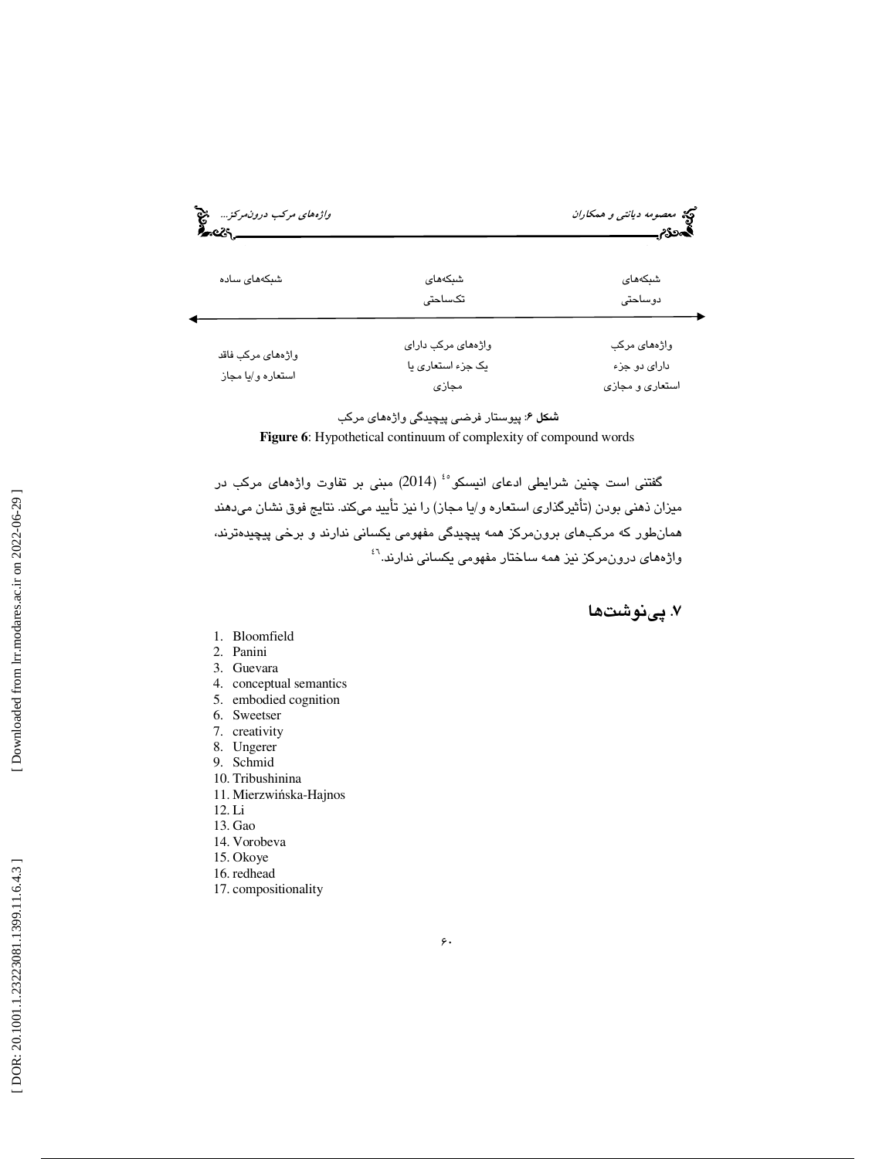| <i>واژههای مرکب درونمرکز</i> چ <mark>چ</mark><br>డించిన |                                                  | کی معصوم <i>ه دیانتی و همکاران</i><br>گم <b>هگ</b> رم |
|---------------------------------------------------------|--------------------------------------------------|-------------------------------------------------------|
| شبکههای ساده                                            | شبكەھاي<br>تکساحتی                               | شبكەھاي<br>دوساحتى                                    |
| واژەھای مرکب فاقد<br>استعاره و/يا مجاز                  | واژههای مرکب دارای<br>یک جزء استعاری یا<br>مجازى | واژەھای مرکب<br>دارای دو جزء<br>استعاري و مجازي       |

**شىكل ۶**: پيوستار فرضى پيچيدگى واژەھاى مركب **Figure 6**: Hypothetical continuum of complexity of compound words

گفتني است چنين شرايطي ادعاي انيسكو<sup>ه،</sup> (2014) مبني بر تفاوت واژههاي مركب در ميزان ذهني بودن (تأثيرگذاري استعاره و/يا مجاز) را نيز تأييد مي كند. نتايج فوق نشان ميدهند همانطور كه مركبهاى برونمركز همه پيچيدگى مفهومى يكسانى ندارند و برخى پيچيدەترند، واژههای درون،مرکز نیز همه ساختار مفهومی یکسانی ندارند.<sup>۶٬</sup>

7. پينوشت ها

- 1. Bloomfield
- 2. Panini
- 3. Guevara
- 4. conceptual semantics
- 5. embodied cognition
- 6. Sweetser
- 7. creativity
- 8. Ungerer
- 9. Schmid
- 10. Tribushinina
- 11. Mierzwi ńska-Hajnos
- 12. Li
- 13. Gao
- 14. Vorobeva
- 15. Okoye
- 16. redhead
- 17. compositionality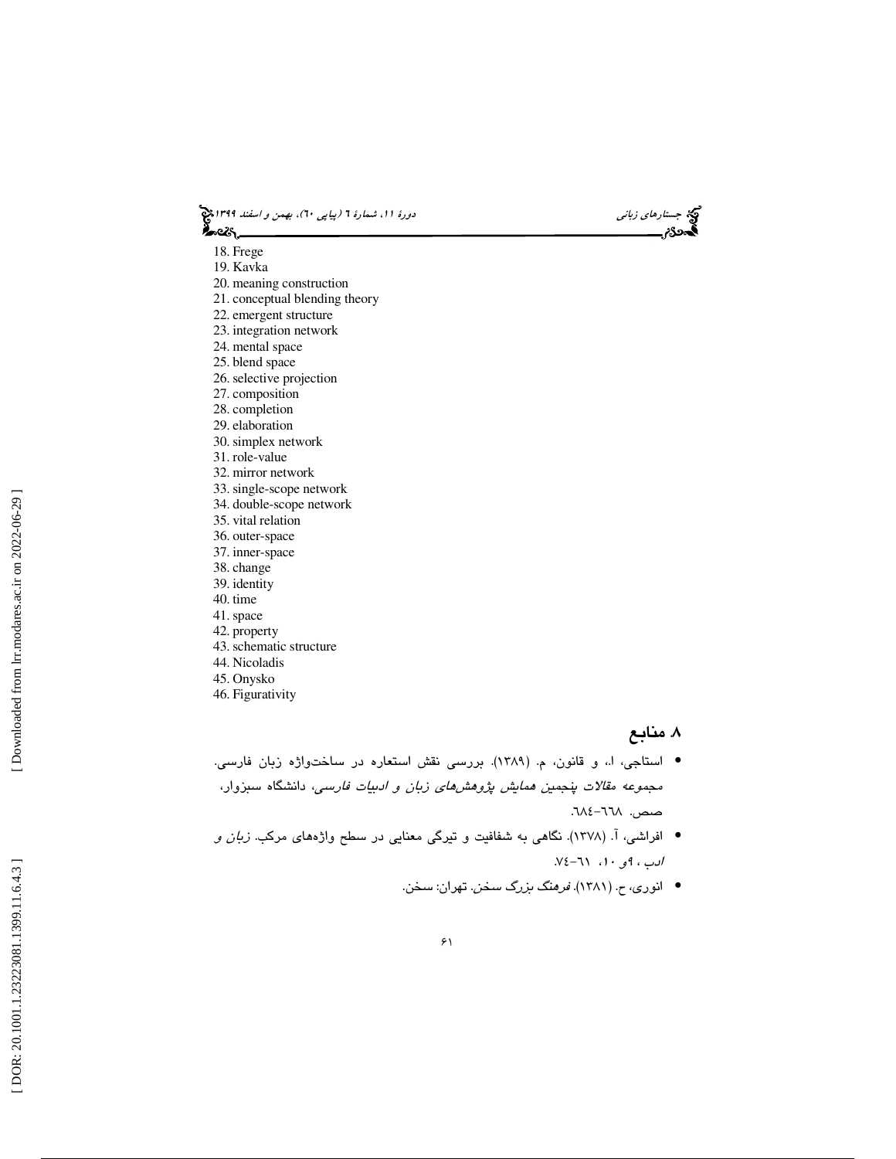جستار*هاي زباني (بياپي 60)، بهمن و اسفند 1*398 هجرا بياني دورة 11، شمارة 1 (پياپي ٢٠)، بهم*ن و اسفند 1*394 هج ీంయ,

- 18. Frege
- 19. Kavka
- 20. meaning construction
- 21. conceptual blending theory
- 22. emergent structure
- 23. integration network
- 24. mental space
- 25. blend space
- 26. selective projection
- 27. composition
- 28. completion
- 29. elaboration
- 30. simplex network
- 31. role-value
- 32. mirror network
- 33. single-scope network
- 34. double-scope network
- 35. vital relation
- 36. outer-space
- 37. inner-space
- 38. change 39. identity
- 40. time
- 
- 41. space 42. property
- 43. schematic structure
- 44. Nicoladis
- 45. Onysko
- 46. Figurativity

## . منابع 8

- استاجي، ا،. و قانون، م. (1389). بررسي نقش استعاره در ساختواژه زبان فارسي. مجموعه مقالات پنجمين همايش پژوهشهاي زبان و ادبيات فارسي، دانشگاه سبزوار، صص. ٦٦٨-٦٦٨.
- افراشي، آ. (١٣٧٨). نگاهي به شفافيت و تيرگي معنايي در سطح واژههاي مركب. ز*بان و* ادب ، 9و ،10 61- 74.
	- انوري، ح. (1381). فرهنگ بزرگ سخن. تهران: سخن. •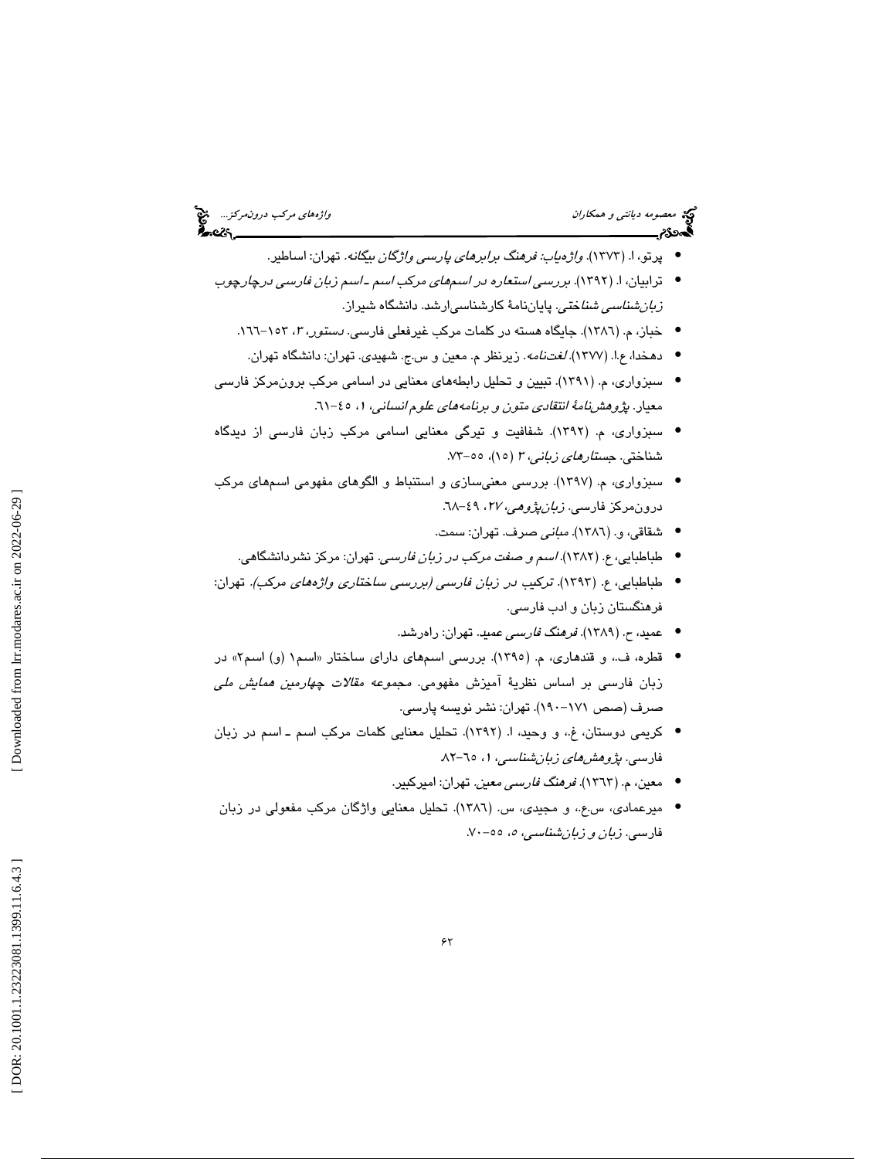# می معصومه د*يانتي و همكاران* واژههاي مركب د*رونمركز...*. م<sup>عن</sup><br>ال**جمهوره ديانتي و همكاران واژه واژه واژه واژه واژه واژههاي مركب درونمركز... مثل**<br>**الجمهوری**م پرتو، ا. (1373). واژهياب: فرهنگ برابرهاي پارسي واژگان بيگانه. تهران: اساطير. • ترابيان، ا. (1392). بررسي استعاره در اسمهاي مركب اسم ـ اسم زبان فارسي درچارچوب • ز*بانشناسي شناختي*. پاياننامهٔ كارشناسيارشد. دانشگاه شيراز. • خباز، م. (١٣٨٦). جايگاه هسته در كلمات مركب غيرفعلي فارسي*. دستور، ٣،* ١٥٣-١٦٦. • دهخدا، ع.ا. (١٣٧٧) *. لغتنامه*. زيرنظر م. معين و س.ج. شهيدي. تهران: دانشگاه تهران. سبزواري، م. (1391). تبيين و تحليل رابطههاي معنايي در اسامي مركب برونمركز فارسي • معیار. *پژوهشنامهٔ انتقادی متون و برنامههای علوم انسانی*، ۱، ٤٥-٦١. سبزواري، م. (1392). شفافيت و تيرگي معنايي اسامي مركب زبان فارسي از ديدگاه • شناختي. *جستار<i>هاي زباني، ۳ (*۱۵)، ٥٥–۷۳.

- سبزواري، م. (١٣٩٧). بررسي معنىسازي و استنباط و الگوهاي مفهومي اسمهاي مركب درونمركز فارسى. *زبانپژوهي، ۲۷*، ۶۹-۲۸.
	- شقاقي، و. (1386). مباني صرف. تهران: سمت. •
	- طباطبايي، ع. (1382). اسم و صفت مركب در زبان فارسي. تهران: مركز نشردانشگاهي. •
- طباطبايي، ع. (1393). تركيب در زبان فارسي (بررسي ساختاري واژههاي مركب). تهران: فرهنگستان زبان و ادب فارسي.
	- عميد، ح. (1389). فرهنگ فارسي عميد. تهران: راهرشد. •
- قطره، ف.، و قندهاري، م. (١٣٩٥). بررسي اسمهاي داراي ساختار «اسم١ (و) اسم٢» در زبان فارسي بر اساس نظرية آميزش مفهومي. مجموعه مقالات چهارمين همايش ملي صرف (صص ۱۷۱–۱۹۰). تهران: نشر نویسه پارسی.
- كريمي دوستان، غ،. و وحيد، ا. (1392). تحليل معنايي كلمات مركب اسم ـ اسم در زبان فارسی. *پژوهشهای زبان شناسی*، ۱، ۲۵-۸۲.
	- معين، م. (1363). فرهنگ فارسي معين. تهران: اميركبير. •
- میرعمادی، س.ع.، و مجیدی، س. (١٣٨٦). تحلیل معنایی واژگان مرکب مفعولی در زبان فارسی. *زبان و زبانشناسی، ه*، ٥٥–٧٠.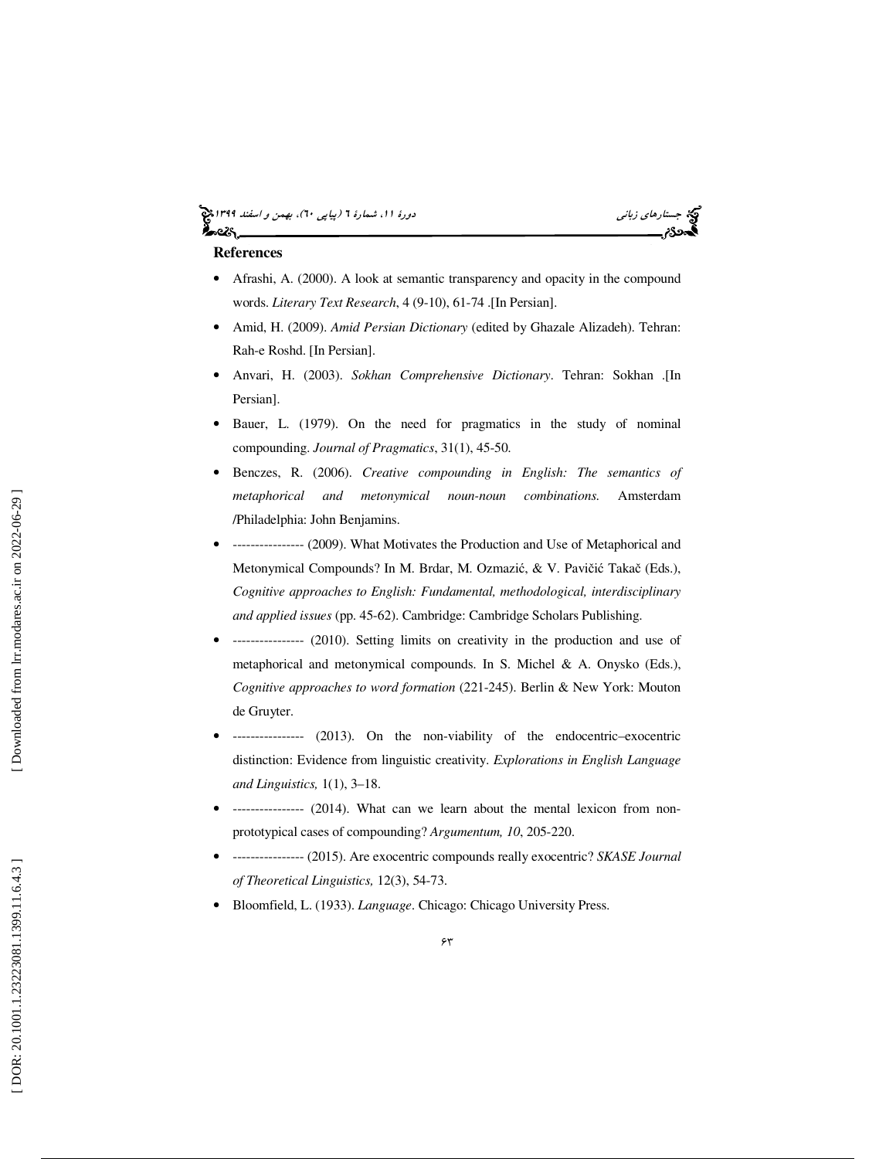#### جستار*هاي زباني (بياپي 60)، بهمن و اسفند 1*398 هجرا بياني دورة 11، شمارة 1 (پياپي ٢٠)، بهم*ن و اسفند 1*394 هج أحمدهم

## **References**

- Afrashi, A. (2000). A look at semantic transparency and opacity in the compound words. *Literary Text Research*, 4 (9-10), 61-74 .[In Persian].
- Amid, H. (2009). *Amid Persian Dictionary* (edited by Ghazale Alizadeh). Tehran: Rah-e Roshd. [In Persian].
- Anvari, H. (2003). *Sokhan Comprehensive Dictionary*. Tehran: Sokhan .[In Persian].
- Bauer, L. (1979). On the need for pragmatics in the study of nominal compounding. *Journal of Pragmatics*, 31(1), 45-50.
- Benczes, R. (2006). *Creative compounding in English: The semantics of metaphorical and metonymical noun-noun combinations.* Amsterdam /Philadelphia: John Benjamins.
- ---------------- (2009). What Motivates the Production and Use of Metaphorical and Metonymical Compounds? In M. Brdar, M. Ozmazić, & V. Pavičić Takač (Eds.), *Cognitive approaches to English: Fundamental, methodological, interdisciplinary and applied issues* (pp. 45-62). Cambridge: Cambridge Scholars Publishing.
- ---------------- (2010). Setting limits on creativity in the production and use of metaphorical and metonymical compounds. In S. Michel & A. Onysko (Eds.), *Cognitive approaches to word formation* (221-245). Berlin & New York: Mouton de Gruyter.
- ---------------- (2013). On the non-viability of the endocentric–exocentric distinction: Evidence from linguistic creativity. *Explorations in English Language and Linguistics,* 1(1), 3–18.
- ---------------- (2014). What can we learn about the mental lexicon from nonprototypical cases of compounding? *Argumentum, 10*, 205-220.
- ---------------- (2015). Are exocentric compounds really exocentric? *SKASE Journal of Theoretical Linguistics,* 12(3), 54-73.
- Bloomfield, L. (1933). *Language*. Chicago: Chicago University Press.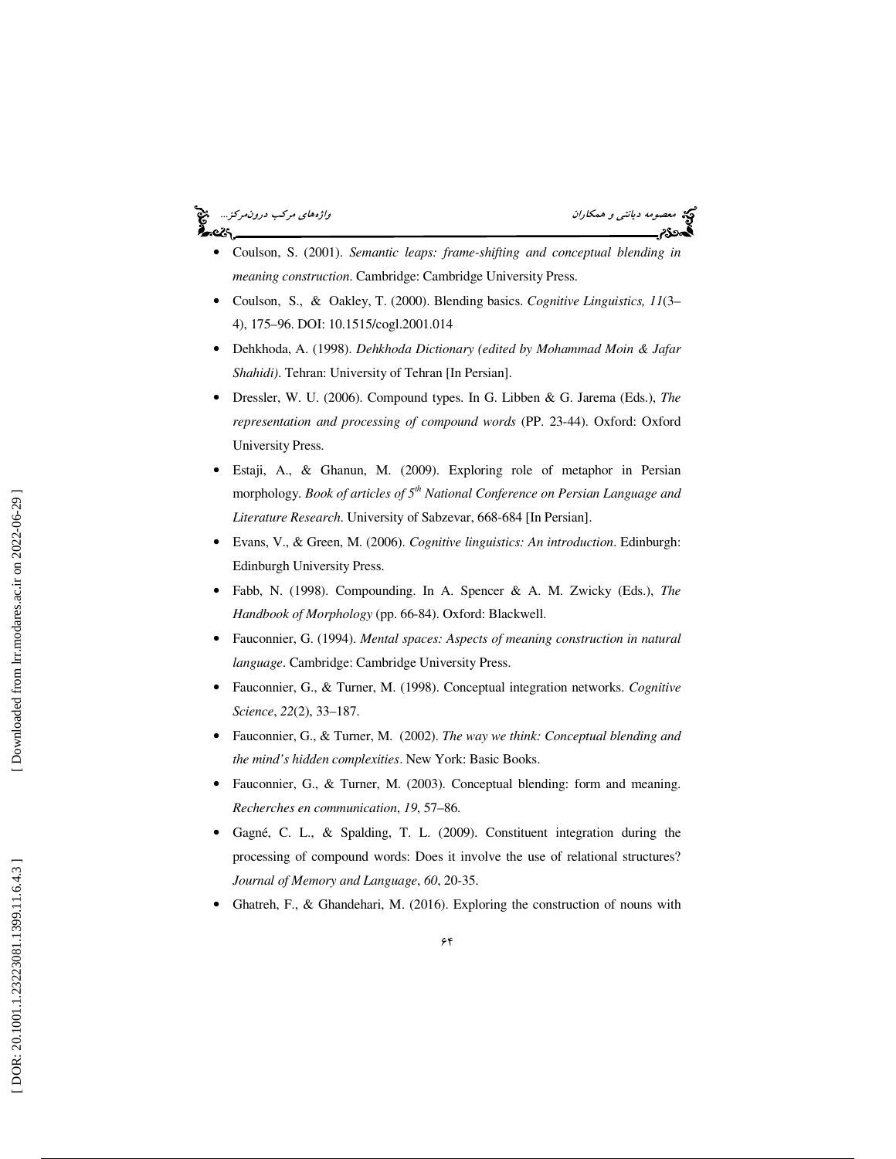# بر<br>تاريخ

معصومه ديانتي و همكاران واژههاي مركب درونمركز...

- Coulson, S. (2001). *Semantic leaps: frame-shifting and conceptual blending in meaning construction*. Cambridge: Cambridge University Press.
- Coulson, S., & Oakley, T. (2000). Blending basics. *Cognitive Linguistics, 11*(3– 4), 175–96. DOI: 10.1515/cogl.2001.014
- Dehkhoda, A. (1998). *Dehkhoda Dictionary (edited by Mohammad Moin & Jafar Shahidi)*. Tehran: University of Tehran [In Persian].
- Dressler, W. U. (2006). Compound types. In G. Libben & G. Jarema (Eds.), *The representation and processing of compound words* (PP. 23-44). Oxford: Oxford University Press.
- Estaji, A., & Ghanun, M. (2009). Exploring role of metaphor in Persian morphology. *Book of articles of 5th National Conference on Persian Language and Literature Research*. University of Sabzevar, 668-684 [In Persian].
- Evans, V., & Green, M. (2006). *Cognitive linguistics: An introduction*. Edinburgh: Edinburgh University Press.
- Fabb, N. (1998). Compounding. In A. Spencer & A. M. Zwicky (Eds.), *The Handbook of Morphology* (pp. 66-84). Oxford: Blackwell.
- Fauconnier, G. (1994). *Mental spaces: Aspects of meaning construction in natural language*. Cambridge: Cambridge University Press.
- Fauconnier, G., & Turner, M. (1998). Conceptual integration networks. *Cognitive Science*, *22*(2), 33–187.
- Fauconnier, G., & Turner, M. (2002). *The way we think: Conceptual blending and the mind's hidden complexities*. New York: Basic Books.
- Fauconnier, G., & Turner, M. (2003). Conceptual blending: form and meaning. *Recherches en communication*, *19*, 57–86.
- Gagné, C. L., & Spalding, T. L. (2009). Constituent integration during the processing of compound words: Does it involve the use of relational structures? *Journal of Memory and Language*, *60*, 20-35.
- Ghatreh, F., & Ghandehari, M. (2016). Exploring the construction of nouns with

Downloaded from lrr.modares.ac.ir on 2022-06-29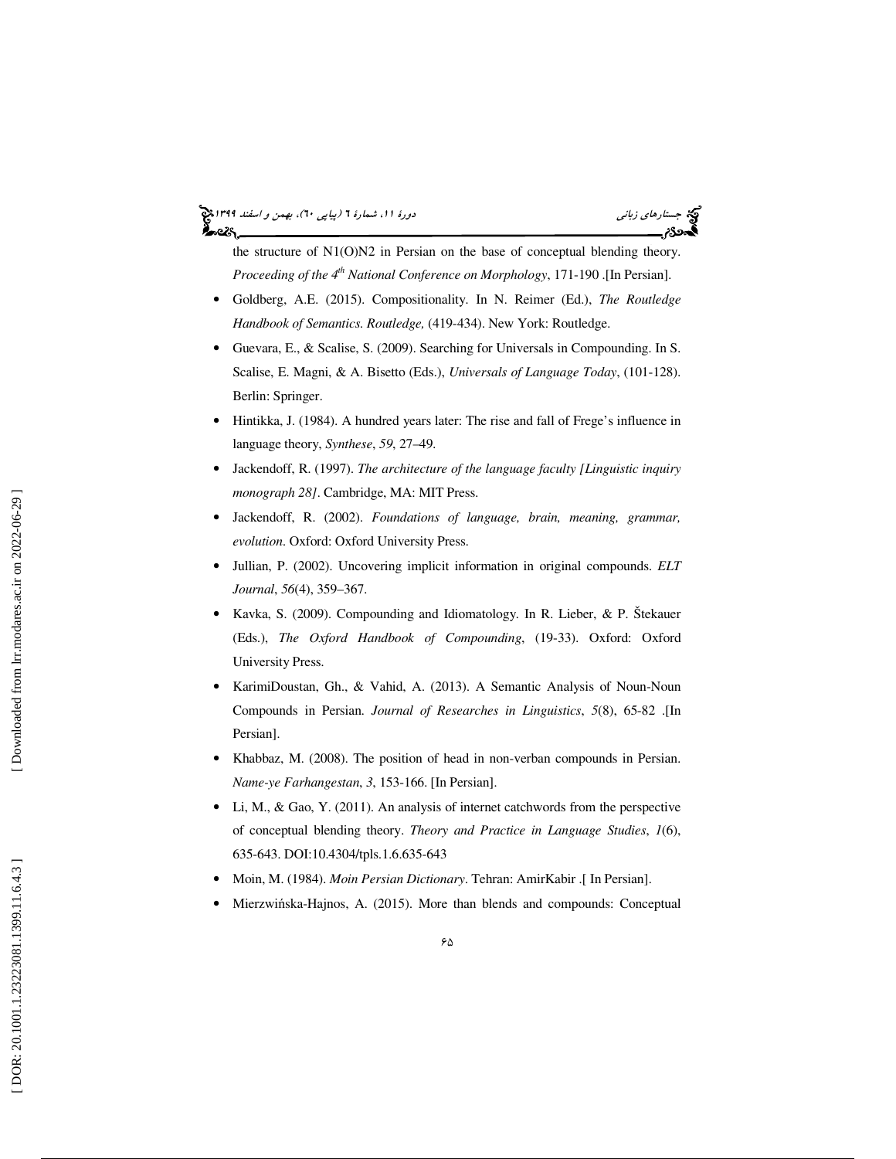# جستار*هاي زباني (بياپي 60)، بهمن و اسفند 1*398 هجرا بياني دورة 11، شمارة 1 (پياپي ٢٠)، بهم*ن و اسفند 1*394 هج

the structure of N1(O)N2 in Persian on the base of conceptual blending theory. *Proceeding of the 4th National Conference on Morphology*, 171-190 .[In Persian].

- Goldberg, A.E. (2015). Compositionality. In N. Reimer (Ed.), *The Routledge Handbook of Semantics. Routledge,* (419-434). New York: Routledge.
- Guevara, E., & Scalise, S. (2009). Searching for Universals in Compounding. In S. Scalise, E. Magni, & A. Bisetto (Eds.), *Universals of Language Today*, (101-128). Berlin: Springer.
- Hintikka, J. (1984). A hundred years later: The rise and fall of Frege's influence in language theory, *Synthese*, *59*, 27–49.
- Jackendoff, R. (1997). *The architecture of the language faculty [Linguistic inquiry monograph 28]*. Cambridge, MA: MIT Press.
- Jackendoff, R. (2002). *Foundations of language, brain, meaning, grammar, evolution*. Oxford: Oxford University Press.
- Jullian, P. (2002). Uncovering implicit information in original compounds. *ELT Journal*, *56*(4), 359–367.
- Kavka, S. (2009). Compounding and Idiomatology. In R. Lieber, & P. Štekauer (Eds.), *The Oxford Handbook of Compounding*, (19-33). Oxford: Oxford University Press.
- KarimiDoustan, Gh., & Vahid, A. (2013). A Semantic Analysis of Noun-Noun Compounds in Persian. *Journal of Researches in Linguistics*, *5*(8), 65-82 .[In Persian].
- Khabbaz, M. (2008). The position of head in non-verban compounds in Persian. *Name-ye Farhangestan*, *3*, 153-166. [In Persian].
- Li, M., & Gao, Y. (2011). An analysis of internet catchwords from the perspective of conceptual blending theory. *Theory and Practice in Language Studies*, *1*(6), 635-643. DOI:10.4304/tpls.1.6.635-643
- Moin, M. (1984). *Moin Persian Dictionary*. Tehran: AmirKabir .[ In Persian].
- Mierzwińska-Hajnos, A. (2015). More than blends and compounds: Conceptual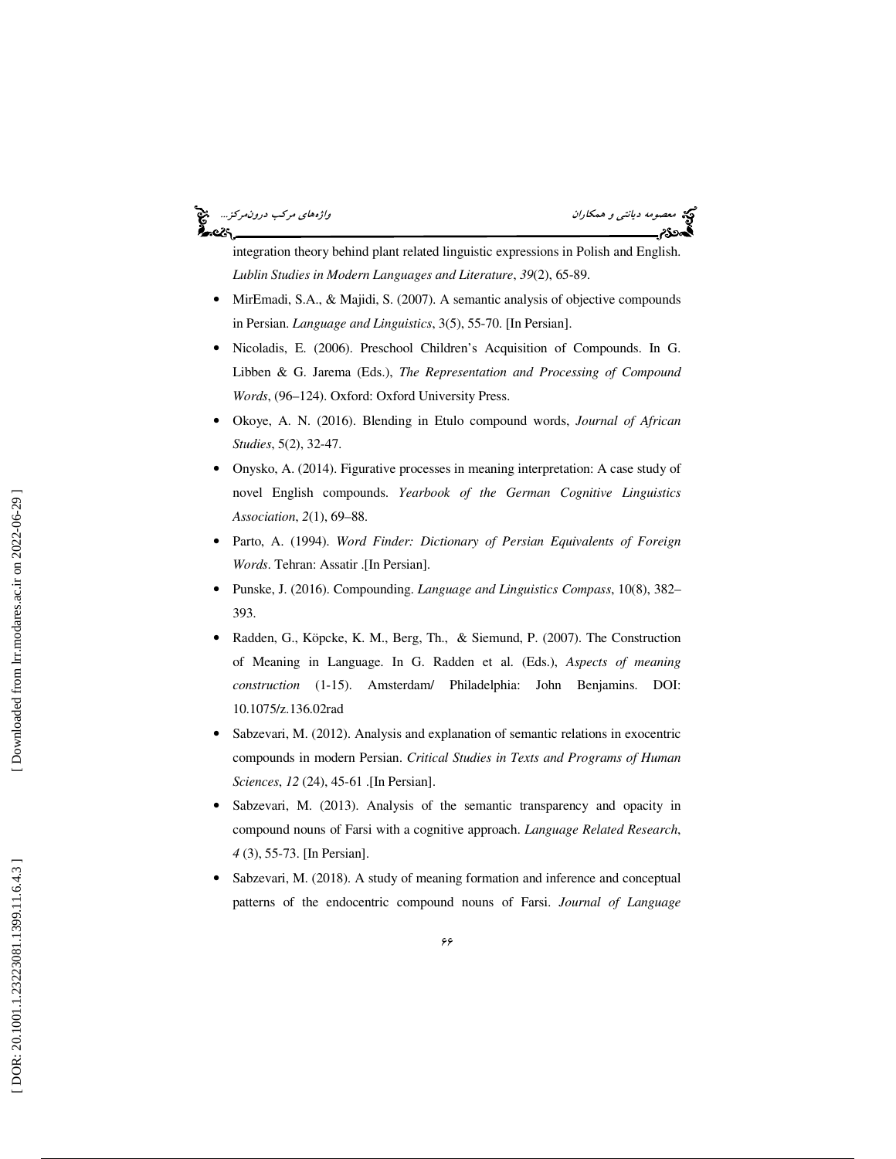# '∽વડ

می معصومه دي*انتي و همكاران واژههاي مركب درونمركز...*<br>**همین درون مركب درون مركب درون مركب درون مركب درون مركب درون مركب درون مركب درون مركب درون مركب درون مركب درون م** 

integration theory behind plant related linguistic expressions in Polish and English. *Lublin Studies in Modern Languages and Literature*, *39*(2), 65-89.

- MirEmadi, S.A., & Majidi, S. (2007). A semantic analysis of objective compounds in Persian. *Language and Linguistics*, 3(5), 55-70. [In Persian].
- Nicoladis, E. (2006). Preschool Children's Acquisition of Compounds. In G. Libben & G. Jarema (Eds.), *The Representation and Processing of Compound Words*, (96–124). Oxford: Oxford University Press.
- Okoye, A. N. (2016). Blending in Etulo compound words, *Journal of African Studies*, 5(2), 32-47.
- Onysko, A. (2014). Figurative processes in meaning interpretation: A case study of novel English compounds. *Yearbook of the German Cognitive Linguistics Association*, *2*(1), 69–88.
- Parto, A. (1994). *Word Finder: Dictionary of Persian Equivalents of Foreign Words*. Tehran: Assatir .[In Persian].
- Punske, J. (2016). Compounding. *Language and Linguistics Compass*, 10(8), 382– 393.
- Radden, G., Köpcke, K. M., Berg, Th., & Siemund, P. (2007). The Construction of Meaning in Language. In G. Radden et al. (Eds.), *Aspects of meaning construction* (1-15). Amsterdam/ Philadelphia: John Benjamins. DOI: 10.1075/z.136.02rad
- Sabzevari, M. (2012). Analysis and explanation of semantic relations in exocentric compounds in modern Persian. *Critical Studies in Texts and Programs of Human Sciences*, *12* (24), 45-61 .[In Persian].
- Sabzevari, M. (2013). Analysis of the semantic transparency and opacity in compound nouns of Farsi with a cognitive approach. *Language Related Research*, *4* (3), 55-73. [In Persian].
- Sabzevari, M. (2018). A study of meaning formation and inference and conceptual patterns of the endocentric compound nouns of Farsi. *Journal of Language*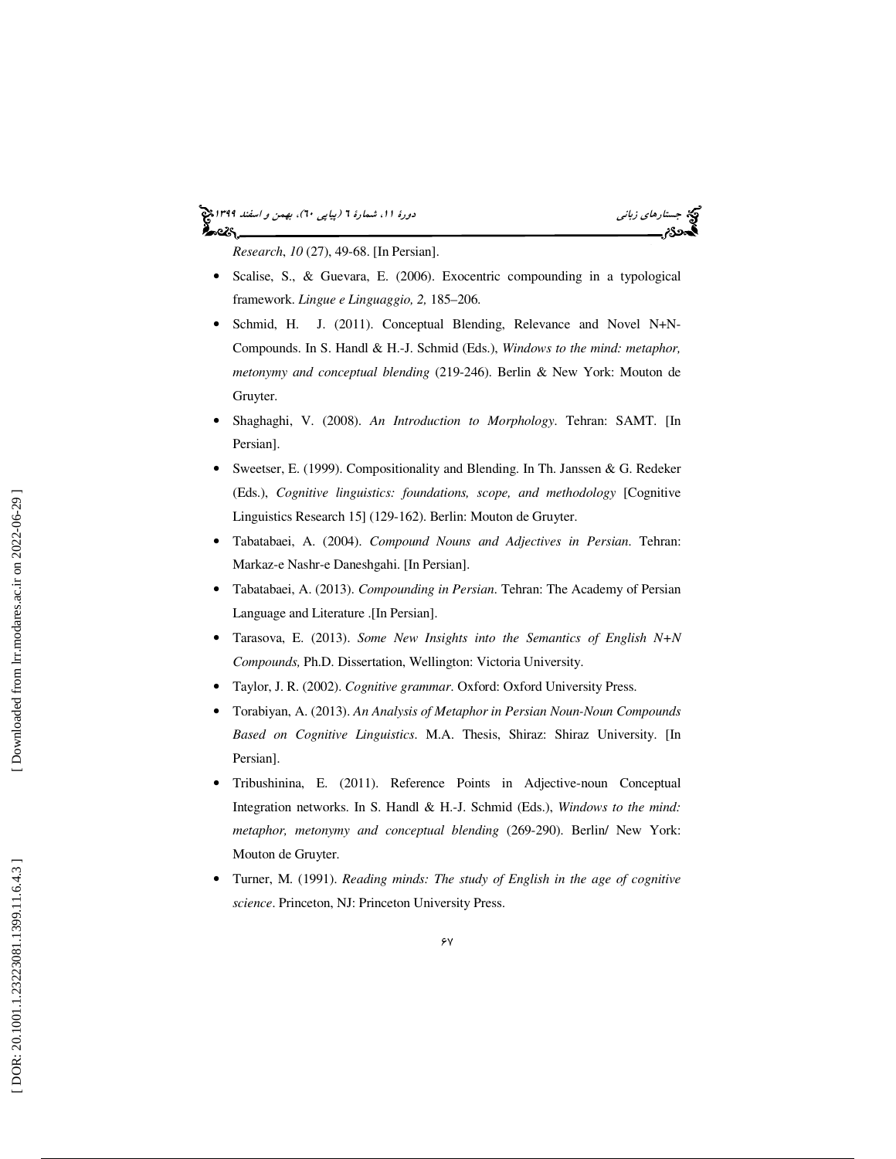#### جستار*هاي زباني (بياپي 60)، بهمن و اسفند 1*398 هجرا بياني دورة 11، شمارة 1 (پياپي ٢٠)، بهم*ن و اسفند 1*394 هج ಹಿಂದಿ

*Research*, *10* (27), 49-68. [In Persian].

- Scalise, S., & Guevara, E. (2006). Exocentric compounding in a typological framework. *Lingue e Linguaggio, 2,* 185–206.
- Schmid, H. J. (2011). Conceptual Blending, Relevance and Novel N+N-Compounds. In S. Handl & H.-J. Schmid (Eds.), *Windows to the mind: metaphor, metonymy and conceptual blending* (219-246). Berlin & New York: Mouton de Gruyter.
- Shaghaghi, V. (2008). *An Introduction to Morphology*. Tehran: SAMT. [In Persian].
- Sweetser, E. (1999). Compositionality and Blending. In Th. Janssen & G. Redeker (Eds.), *Cognitive linguistics: foundations, scope, and methodology* [Cognitive Linguistics Research 15] (129-162). Berlin: Mouton de Gruyter.
- Tabatabaei, A. (2004). *Compound Nouns and Adjectives in Persian*. Tehran: Markaz-e Nashr-e Daneshgahi. [In Persian].
- Tabatabaei, A. (2013). *Compounding in Persian*. Tehran: The Academy of Persian Language and Literature .[In Persian].
- Tarasova, E. (2013). *Some New Insights into the Semantics of English N+N Compounds,* Ph.D. Dissertation, Wellington: Victoria University.
- Taylor, J. R. (2002). *Cognitive grammar*. Oxford: Oxford University Press.
- Torabiyan, A. (2013). *An Analysis of Metaphor in Persian Noun-Noun Compounds Based on Cognitive Linguistics*. M.A. Thesis, Shiraz: Shiraz University. [In Persian].
- Tribushinina, E. (2011). Reference Points in Adjective-noun Conceptual Integration networks. In S. Handl & H.-J. Schmid (Eds.), *Windows to the mind: metaphor, metonymy and conceptual blending* (269-290). Berlin/ New York: Mouton de Gruyter.
- Turner, M. (1991). *Reading minds: The study of English in the age of cognitive science*. Princeton, NJ: Princeton University Press.